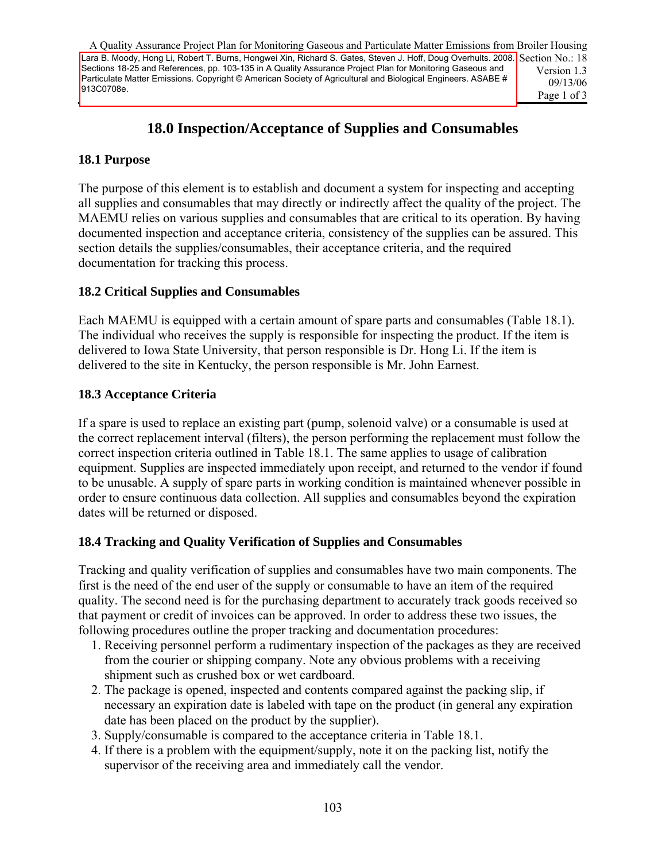A Quality Assurance Project Plan for Monitoring Gaseous and Particulate Matter Emissions from Broiler Housing Lara B. Moody, Hong Li, Robert T. Burns, Hongwei Xin, Richard S. Gates, Steven J. Hoff, Doug Overhults. 2008. Section No.: 18 Version 1.3 09/13/06 Page 1 of 3 Sections 18-25 and References, pp. 103-135 in A Quality Assurance Project Plan for Monitoring Gaseous and Particulate Matter Emissions. Copyright © American Society of Agricultural and Biological Engineers. ASABE # 913C0708e.

## **18.0 Inspection/Acceptance of Supplies and Consumables**

#### **18.1 Purpose**

The purpose of this element is to establish and document a system for inspecting and accepting all supplies and consumables that may directly or indirectly affect the quality of the project. The MAEMU relies on various supplies and consumables that are critical to its operation. By having documented inspection and acceptance criteria, consistency of the supplies can be assured. This section details the supplies/consumables, their acceptance criteria, and the required documentation for tracking this process.

#### **18.2 Critical Supplies and Consumables**

Each MAEMU is equipped with a certain amount of spare parts and consumables (Table 18.1). The individual who receives the supply is responsible for inspecting the product. If the item is delivered to Iowa State University, that person responsible is Dr. Hong Li. If the item is delivered to the site in Kentucky, the person responsible is Mr. John Earnest.

#### **18.3 Acceptance Criteria**

If a spare is used to replace an existing part (pump, solenoid valve) or a consumable is used at the correct replacement interval (filters), the person performing the replacement must follow the correct inspection criteria outlined in Table 18.1. The same applies to usage of calibration equipment. Supplies are inspected immediately upon receipt, and returned to the vendor if found to be unusable. A supply of spare parts in working condition is maintained whenever possible in order to ensure continuous data collection. All supplies and consumables beyond the expiration dates will be returned or disposed. 103 Lara B. Moos Homes University, that person testonial S. Steven S. Burns, Hongwei Xin, Richard S. Steven J. Moos Continues and S. Steven J. Moos Continues and S. Steven J. Moos Continues and S. Steven J. Moos Continues

#### **18.4 Tracking and Quality Verification of Supplies and Consumables**

Tracking and quality verification of supplies and consumables have two main components. The first is the need of the end user of the supply or consumable to have an item of the required quality. The second need is for the purchasing department to accurately track goods received so that payment or credit of invoices can be approved. In order to address these two issues, the following procedures outline the proper tracking and documentation procedures:

- 1. Receiving personnel perform a rudimentary inspection of the packages as they are received from the courier or shipping company. Note any obvious problems with a receiving shipment such as crushed box or wet cardboard.
- 2. The package is opened, inspected and contents compared against the packing slip, if necessary an expiration date is labeled with tape on the product (in general any expiration date has been placed on the product by the supplier).
- 3. Supply/consumable is compared to the acceptance criteria in Table 18.1.
- 4. If there is a problem with the equipment/supply, note it on the packing list, notify the supervisor of the receiving area and immediately call the vendor.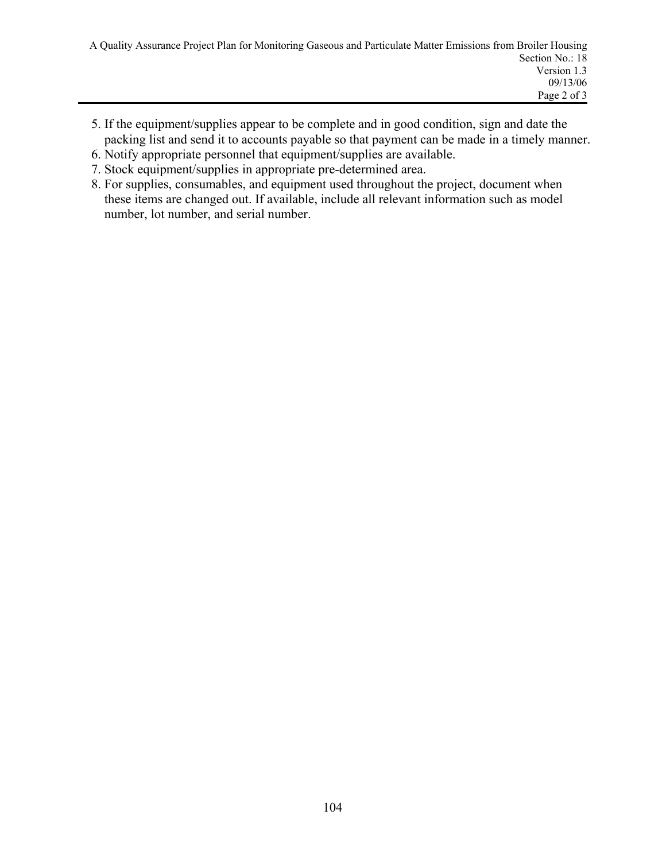- 5. If the equipment/supplies appear to be complete and in good condition, sign and date the packing list and send it to accounts payable so that payment can be made in a timely manner.
- 6. Notify appropriate personnel that equipment/supplies are available.
- 7. Stock equipment/supplies in appropriate pre-determined area.
- 8. For supplies, consumables, and equipment used throughout the project, document when these items are changed out. If available, include all relevant information such as model number, lot number, and serial number.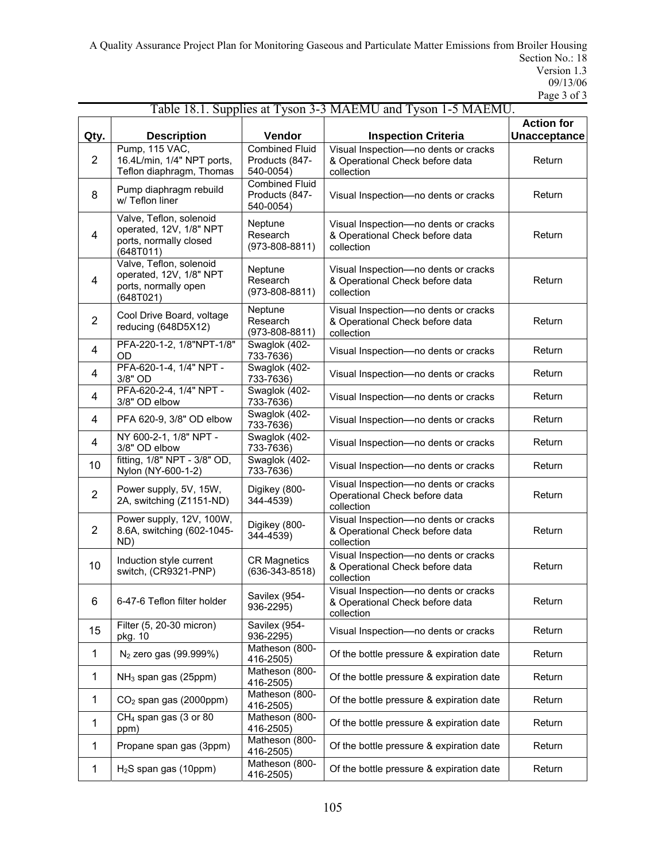A Quality Assurance Project Plan for Monitoring Gaseous and Particulate Matter Emissions from Broiler Housing Section No.: 18 Version 1.3 09/13/06 Page 3 of 3

|                |                                                                                           |                                                      | Table 18.1. Supplies at Tyson 3-3 MAEMU and Tyson 1-5 MAEMU.                          |                                   |
|----------------|-------------------------------------------------------------------------------------------|------------------------------------------------------|---------------------------------------------------------------------------------------|-----------------------------------|
| Qty.           | <b>Description</b>                                                                        | Vendor                                               | <b>Inspection Criteria</b>                                                            | <b>Action for</b><br>Unacceptance |
| $\overline{2}$ | Pump, 115 VAC,<br>16.4L/min, 1/4" NPT ports,<br>Teflon diaphragm, Thomas                  | <b>Combined Fluid</b><br>Products (847-<br>540-0054) | Visual Inspection-no dents or cracks<br>& Operational Check before data<br>collection | Return                            |
| 8              | Pump diaphragm rebuild<br>w/ Teflon liner                                                 | <b>Combined Fluid</b><br>Products (847-<br>540-0054) | Visual Inspection-no dents or cracks                                                  | Return                            |
| 4              | Valve, Teflon, solenoid<br>operated, 12V, 1/8" NPT<br>ports, normally closed<br>(648T011) | Neptune<br>Research<br>$(973 - 808 - 8811)$          | Visual Inspection-no dents or cracks<br>& Operational Check before data<br>collection | Return                            |
| $\overline{4}$ | Valve, Teflon, solenoid<br>operated, 12V, 1/8" NPT<br>ports, normally open<br>(648T021)   | Neptune<br>Research<br>$(973 - 808 - 8811)$          | Visual Inspection-no dents or cracks<br>& Operational Check before data<br>collection | Return                            |
| $\overline{2}$ | Cool Drive Board, voltage<br>reducing (648D5X12)                                          | Neptune<br>Research<br>$(973 - 808 - 8811)$          | Visual Inspection-no dents or cracks<br>& Operational Check before data<br>collection | Return                            |
| 4              | PFA-220-1-2, 1/8"NPT-1/8"<br>OD                                                           | Swaglok (402-<br>733-7636)                           | Visual Inspection-no dents or cracks                                                  | Return                            |
| 4              | PFA-620-1-4, 1/4" NPT -<br>3/8" OD                                                        | Swaglok (402-<br>733-7636)                           | Visual Inspection-no dents or cracks                                                  | Return                            |
| 4              | PFA-620-2-4, 1/4" NPT -<br>3/8" OD elbow                                                  | Swaglok (402-<br>733-7636)                           | Visual Inspection-no dents or cracks                                                  | Return                            |
| 4              | PFA 620-9, 3/8" OD elbow                                                                  | Swaglok (402-<br>733-7636)                           | Visual Inspection-no dents or cracks                                                  | Return                            |
| 4              | NY 600-2-1, 1/8" NPT -<br>3/8" OD elbow                                                   | Swaglok (402-<br>733-7636)                           | Visual Inspection-no dents or cracks                                                  | Return                            |
| 10             | fitting, 1/8" NPT - 3/8" OD,<br>Nylon (NY-600-1-2)                                        | Swaglok (402-<br>733-7636)                           | Visual Inspection-no dents or cracks                                                  | Return                            |
| $\overline{2}$ | Power supply, 5V, 15W,<br>2A, switching (Z1151-ND)                                        | Digikey (800-<br>344-4539)                           | Visual Inspection-no dents or cracks<br>Operational Check before data<br>collection   | Return                            |
| $\overline{2}$ | Power supply, 12V, 100W,<br>8.6A, switching (602-1045-<br>ND)                             | Digikey (800-<br>344-4539)                           | Visual Inspection-no dents or cracks<br>& Operational Check before data<br>collection | Return                            |
| 10             | Induction style current<br>switch, (CR9321-PNP)                                           | <b>CR Magnetics</b><br>$(636-343-8518)$              | Visual Inspection-no dents or cracks<br>& Operational Check before data<br>collection | Return                            |
| 6              | 6-47-6 Teflon filter holder                                                               | Savilex (954-<br>936-2295)                           | Visual Inspection-no dents or cracks<br>& Operational Check before data<br>collection | Return                            |
| 15             | Filter (5, 20-30 micron)<br>pkg. 10                                                       | Savilex (954-<br>936-2295)                           | Visual Inspection-no dents or cracks                                                  | Return                            |
| 1              | $N_2$ zero gas (99.999%)                                                                  | Matheson (800-<br>416-2505)                          | Of the bottle pressure & expiration date                                              | Return                            |
| 1              | NH <sub>3</sub> span gas (25ppm)                                                          | Matheson (800-<br>416-2505)                          | Of the bottle pressure & expiration date                                              | Return                            |
| 1              | $CO2$ span gas (2000ppm)                                                                  | Matheson (800-<br>416-2505)                          | Of the bottle pressure & expiration date                                              | Return                            |
| 1              | CH <sub>4</sub> span gas (3 or 80<br>ppm)                                                 | Matheson (800-<br>416-2505)                          | Of the bottle pressure & expiration date                                              | Return                            |
| 1              | Propane span gas (3ppm)                                                                   | Matheson (800-<br>416-2505)                          | Of the bottle pressure & expiration date                                              | Return                            |
| 1              | $H2S$ span gas (10ppm)                                                                    | Matheson (800-<br>416-2505)                          | Of the bottle pressure & expiration date                                              | Return                            |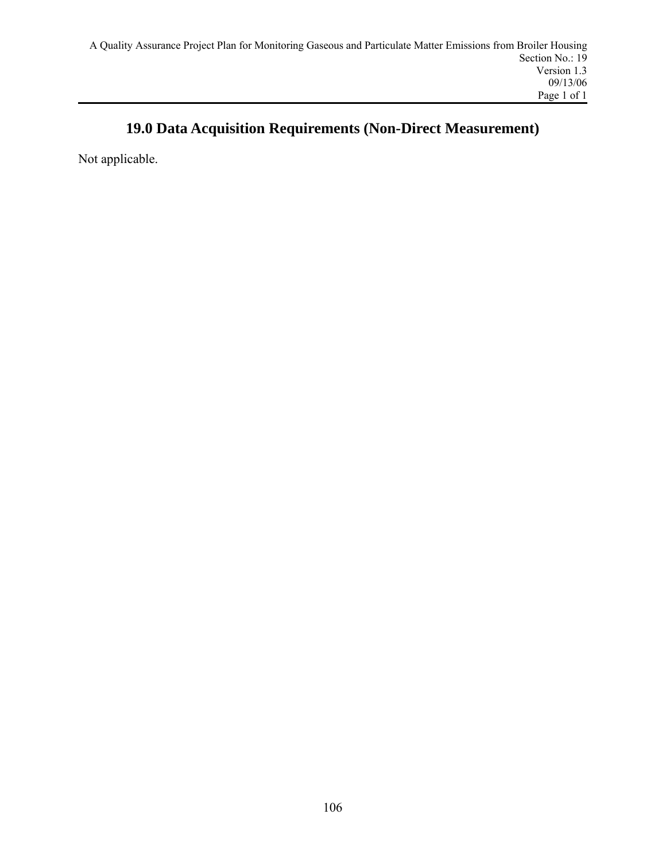# **19.0 Data Acquisition Requirements (Non-Direct Measurement)**

Not applicable.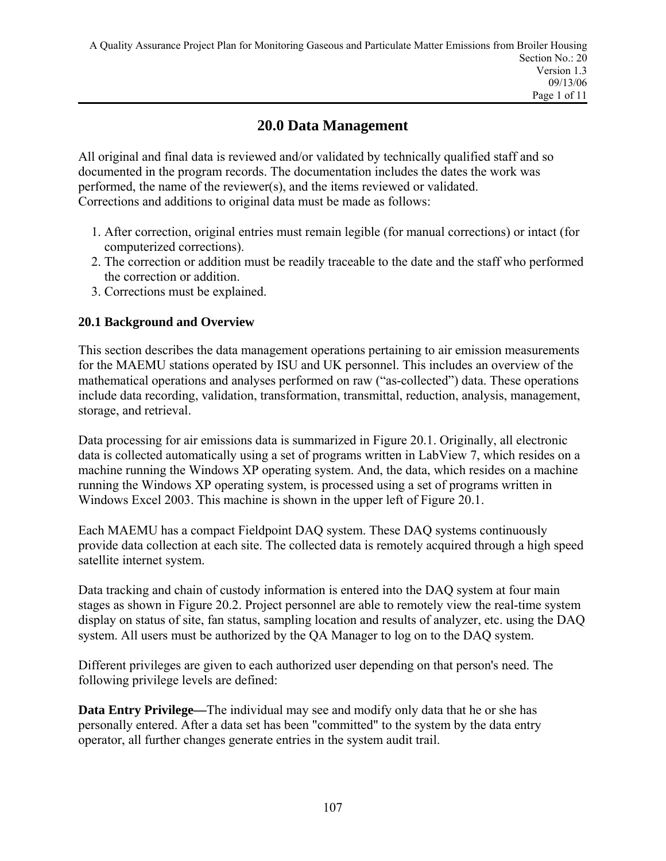## **20.0 Data Management**

All original and final data is reviewed and/or validated by technically qualified staff and so documented in the program records. The documentation includes the dates the work was performed, the name of the reviewer(s), and the items reviewed or validated. Corrections and additions to original data must be made as follows:

- 1. After correction, original entries must remain legible (for manual corrections) or intact (for computerized corrections).
- 2. The correction or addition must be readily traceable to the date and the staff who performed the correction or addition.
- 3. Corrections must be explained.

## **20.1 Background and Overview**

This section describes the data management operations pertaining to air emission measurements for the MAEMU stations operated by ISU and UK personnel. This includes an overview of the mathematical operations and analyses performed on raw ("as-collected") data. These operations include data recording, validation, transformation, transmittal, reduction, analysis, management, storage, and retrieval.

Data processing for air emissions data is summarized in Figure 20.1. Originally, all electronic data is collected automatically using a set of programs written in LabView 7, which resides on a machine running the Windows XP operating system. And, the data, which resides on a machine running the Windows XP operating system, is processed using a set of programs written in Windows Excel 2003. This machine is shown in the upper left of Figure 20.1.

Each MAEMU has a compact Fieldpoint DAQ system. These DAQ systems continuously provide data collection at each site. The collected data is remotely acquired through a high speed satellite internet system.

Data tracking and chain of custody information is entered into the DAQ system at four main stages as shown in Figure 20.2. Project personnel are able to remotely view the real-time system display on status of site, fan status, sampling location and results of analyzer, etc. using the DAQ system. All users must be authorized by the QA Manager to log on to the DAQ system.

Different privileges are given to each authorized user depending on that person's need. The following privilege levels are defined:

**Data Entry Privilege—**The individual may see and modify only data that he or she has personally entered. After a data set has been "committed" to the system by the data entry operator, all further changes generate entries in the system audit trail.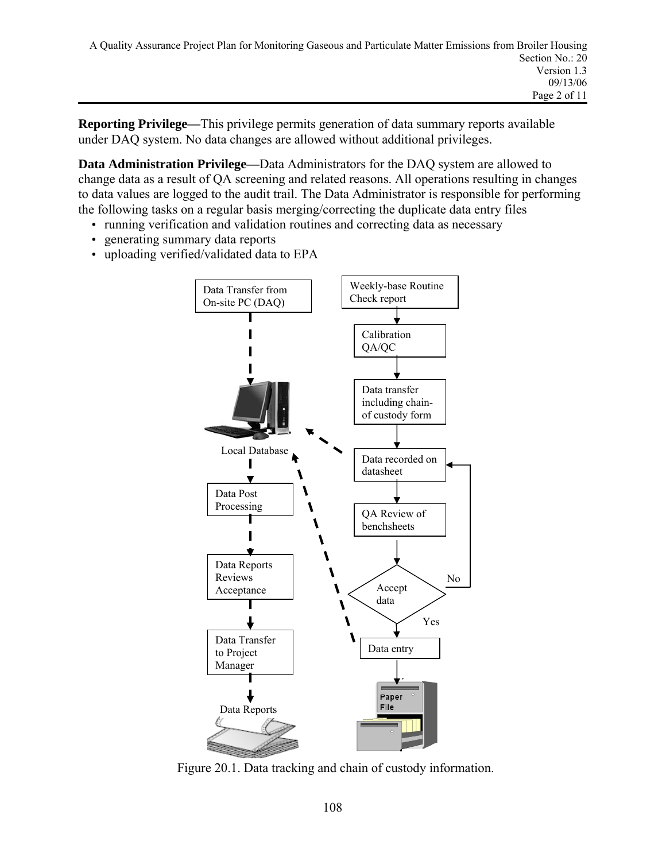**Reporting Privilege—**This privilege permits generation of data summary reports available under DAQ system. No data changes are allowed without additional privileges.

**Data Administration Privilege—**Data Administrators for the DAQ system are allowed to change data as a result of QA screening and related reasons. All operations resulting in changes to data values are logged to the audit trail. The Data Administrator is responsible for performing the following tasks on a regular basis merging/correcting the duplicate data entry files

- running verification and validation routines and correcting data as necessary
- generating summary data reports
- uploading verified/validated data to EPA



Figure 20.1. Data tracking and chain of custody information.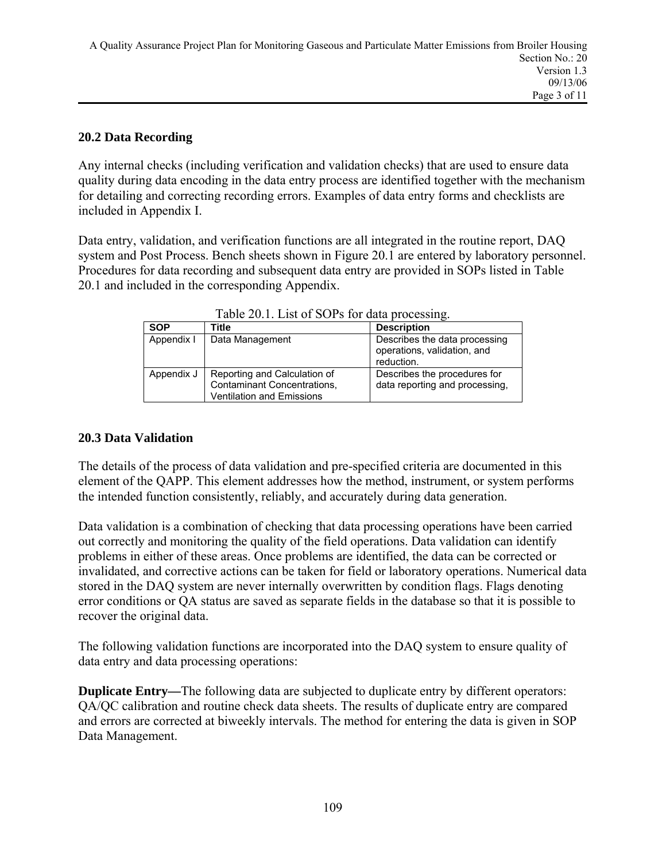### **20.2 Data Recording**

Any internal checks (including verification and validation checks) that are used to ensure data quality during data encoding in the data entry process are identified together with the mechanism for detailing and correcting recording errors. Examples of data entry forms and checklists are included in Appendix I.

Data entry, validation, and verification functions are all integrated in the routine report, DAQ system and Post Process. Bench sheets shown in Figure 20.1 are entered by laboratory personnel. Procedures for data recording and subsequent data entry are provided in SOPs listed in Table 20.1 and included in the corresponding Appendix.

| <b>SOP</b> | Title                                                                                                  | <b>Description</b>                                                         |
|------------|--------------------------------------------------------------------------------------------------------|----------------------------------------------------------------------------|
| Appendix I | Data Management                                                                                        | Describes the data processing<br>operations, validation, and<br>reduction. |
| Appendix J | Reporting and Calculation of<br><b>Contaminant Concentrations,</b><br><b>Ventilation and Emissions</b> | Describes the procedures for<br>data reporting and processing,             |

Table 20.1. List of SOPs for data processing.

### **20.3 Data Validation**

The details of the process of data validation and pre-specified criteria are documented in this element of the QAPP. This element addresses how the method, instrument, or system performs the intended function consistently, reliably, and accurately during data generation.

Data validation is a combination of checking that data processing operations have been carried out correctly and monitoring the quality of the field operations. Data validation can identify problems in either of these areas. Once problems are identified, the data can be corrected or invalidated, and corrective actions can be taken for field or laboratory operations. Numerical data stored in the DAQ system are never internally overwritten by condition flags. Flags denoting error conditions or QA status are saved as separate fields in the database so that it is possible to recover the original data.

The following validation functions are incorporated into the DAQ system to ensure quality of data entry and data processing operations:

**Duplicate Entry—The following data are subjected to duplicate entry by different operators:** QA/QC calibration and routine check data sheets. The results of duplicate entry are compared and errors are corrected at biweekly intervals. The method for entering the data is given in SOP Data Management.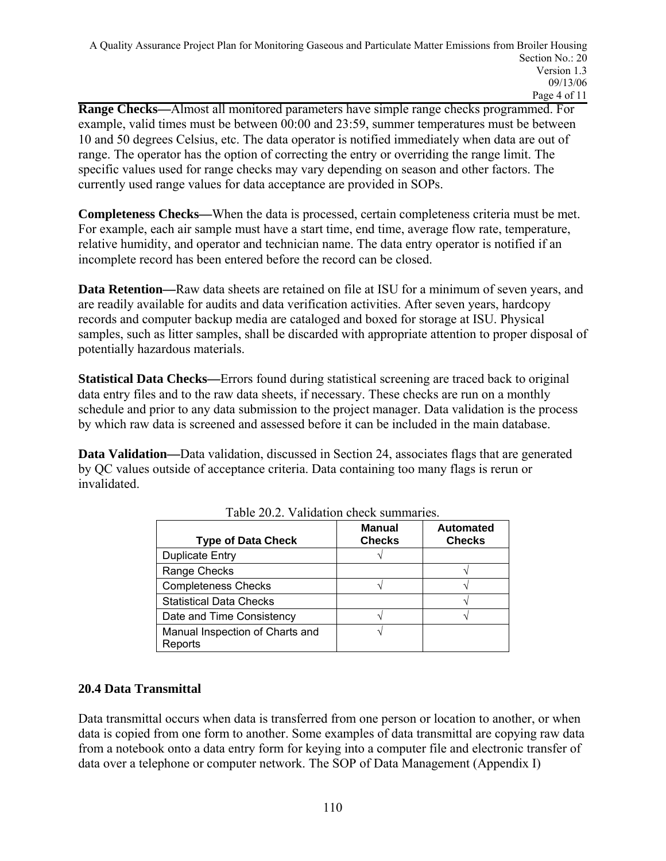**Range Checks—**Almost all monitored parameters have simple range checks programmed. For example, valid times must be between 00:00 and 23:59, summer temperatures must be between 10 and 50 degrees Celsius, etc. The data operator is notified immediately when data are out of range. The operator has the option of correcting the entry or overriding the range limit. The specific values used for range checks may vary depending on season and other factors. The currently used range values for data acceptance are provided in SOPs.

**Completeness Checks—**When the data is processed, certain completeness criteria must be met. For example, each air sample must have a start time, end time, average flow rate, temperature, relative humidity, and operator and technician name. The data entry operator is notified if an incomplete record has been entered before the record can be closed.

**Data Retention—Raw data sheets are retained on file at ISU for a minimum of seven years, and** are readily available for audits and data verification activities. After seven years, hardcopy records and computer backup media are cataloged and boxed for storage at ISU. Physical samples, such as litter samples, shall be discarded with appropriate attention to proper disposal of potentially hazardous materials.

**Statistical Data Checks—**Errors found during statistical screening are traced back to original data entry files and to the raw data sheets, if necessary. These checks are run on a monthly schedule and prior to any data submission to the project manager. Data validation is the process by which raw data is screened and assessed before it can be included in the main database.

**Data Validation—**Data validation, discussed in Section 24, associates flags that are generated by QC values outside of acceptance criteria. Data containing too many flags is rerun or invalidated.

| <b>Type of Data Check</b>                  | <b>Manual</b><br><b>Checks</b> | <b>Automated</b><br><b>Checks</b> |
|--------------------------------------------|--------------------------------|-----------------------------------|
| <b>Duplicate Entry</b>                     |                                |                                   |
| Range Checks                               |                                |                                   |
| <b>Completeness Checks</b>                 |                                |                                   |
| <b>Statistical Data Checks</b>             |                                |                                   |
| Date and Time Consistency                  |                                |                                   |
| Manual Inspection of Charts and<br>Reports |                                |                                   |

Table 20.2. Validation check summaries.

### **20.4 Data Transmittal**

Data transmittal occurs when data is transferred from one person or location to another, or when data is copied from one form to another. Some examples of data transmittal are copying raw data from a notebook onto a data entry form for keying into a computer file and electronic transfer of data over a telephone or computer network. The SOP of Data Management (Appendix I)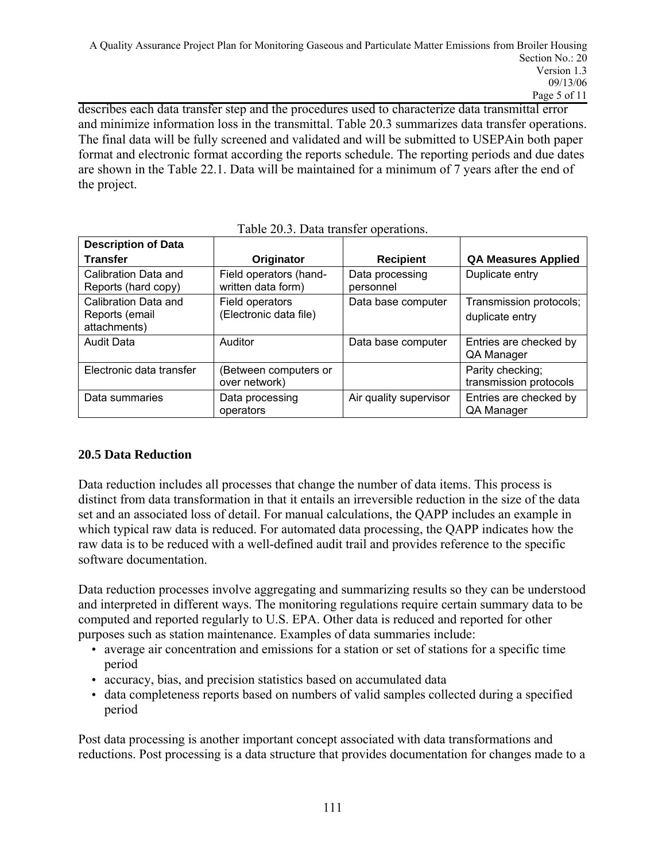describes each data transfer step and the procedures used to characterize data transmittal error and minimize information loss in the transmittal. Table 20.3 summarizes data transfer operations. The final data will be fully screened and validated and will be submitted to USEPAin both paper format and electronic format according the reports schedule. The reporting periods and due dates are shown in the Table 22.1. Data will be maintained for a minimum of 7 years after the end of the project.

| <b>Description of Data</b>                             |                                              |                              |                                            |
|--------------------------------------------------------|----------------------------------------------|------------------------------|--------------------------------------------|
| <b>Transfer</b>                                        | Originator                                   | <b>Recipient</b>             | <b>QA Measures Applied</b>                 |
| Calibration Data and<br>Reports (hard copy)            | Field operators (hand-<br>written data form) | Data processing<br>personnel | Duplicate entry                            |
| Calibration Data and<br>Reports (email<br>attachments) | Field operators<br>(Electronic data file)    | Data base computer           | Transmission protocols;<br>duplicate entry |
| <b>Audit Data</b>                                      | Auditor                                      | Data base computer           | Entries are checked by<br>QA Manager       |
| Electronic data transfer                               | (Between computers or<br>over network)       |                              | Parity checking;<br>transmission protocols |
| Data summaries                                         | Data processing<br>operators                 | Air quality supervisor       | Entries are checked by<br>QA Manager       |

|  | Table 20.3. Data transfer operations. |  |  |  |
|--|---------------------------------------|--|--|--|
|--|---------------------------------------|--|--|--|

## **20.5 Data Reduction**

Data reduction includes all processes that change the number of data items. This process is distinct from data transformation in that it entails an irreversible reduction in the size of the data set and an associated loss of detail. For manual calculations, the QAPP includes an example in which typical raw data is reduced. For automated data processing, the QAPP indicates how the raw data is to be reduced with a well-defined audit trail and provides reference to the specific software documentation.

Data reduction processes involve aggregating and summarizing results so they can be understood and interpreted in different ways. The monitoring regulations require certain summary data to be computed and reported regularly to U.S. EPA. Other data is reduced and reported for other purposes such as station maintenance. Examples of data summaries include:

- average air concentration and emissions for a station or set of stations for a specific time period
- accuracy, bias, and precision statistics based on accumulated data
- data completeness reports based on numbers of valid samples collected during a specified period

Post data processing is another important concept associated with data transformations and reductions. Post processing is a data structure that provides documentation for changes made to a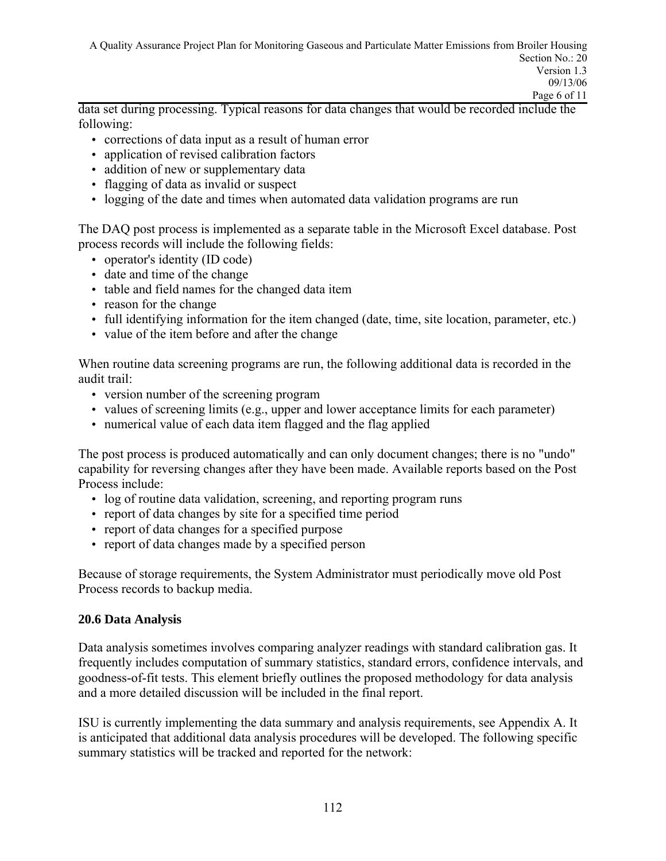data set during processing. Typical reasons for data changes that would be recorded include the following:

- corrections of data input as a result of human error
- application of revised calibration factors
- addition of new or supplementary data
- flagging of data as invalid or suspect
- logging of the date and times when automated data validation programs are run

The DAQ post process is implemented as a separate table in the Microsoft Excel database. Post process records will include the following fields:

- operator's identity (ID code)
- date and time of the change
- table and field names for the changed data item
- reason for the change
- full identifying information for the item changed (date, time, site location, parameter, etc.)
- value of the item before and after the change

When routine data screening programs are run, the following additional data is recorded in the audit trail:

- version number of the screening program
- values of screening limits (e.g., upper and lower acceptance limits for each parameter)
- numerical value of each data item flagged and the flag applied

The post process is produced automatically and can only document changes; there is no "undo" capability for reversing changes after they have been made. Available reports based on the Post Process include:

- log of routine data validation, screening, and reporting program runs
- report of data changes by site for a specified time period
- report of data changes for a specified purpose
- report of data changes made by a specified person

Because of storage requirements, the System Administrator must periodically move old Post Process records to backup media.

### **20.6 Data Analysis**

Data analysis sometimes involves comparing analyzer readings with standard calibration gas. It frequently includes computation of summary statistics, standard errors, confidence intervals, and goodness-of-fit tests. This element briefly outlines the proposed methodology for data analysis and a more detailed discussion will be included in the final report.

ISU is currently implementing the data summary and analysis requirements, see Appendix A. It is anticipated that additional data analysis procedures will be developed. The following specific summary statistics will be tracked and reported for the network: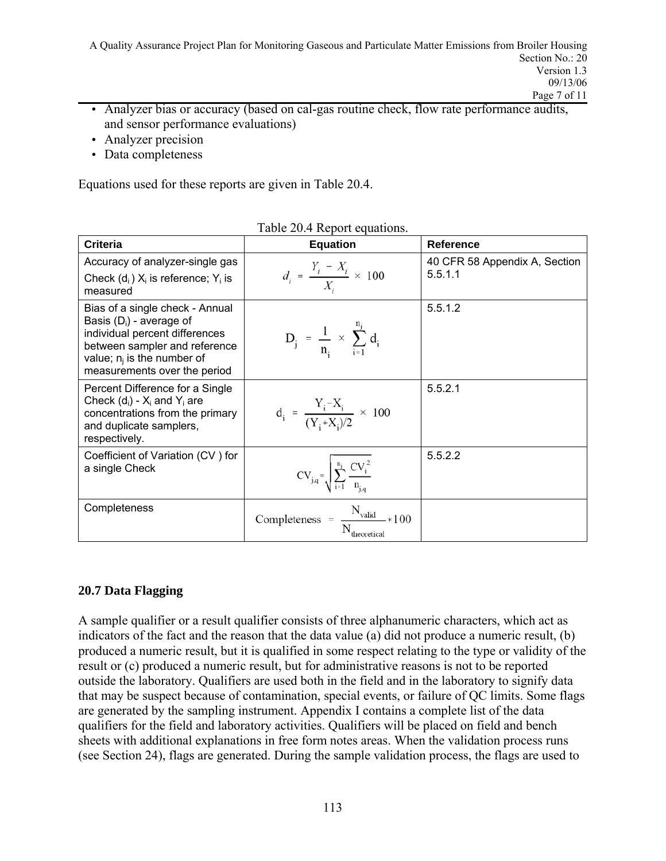A Quality Assurance Project Plan for Monitoring Gaseous and Particulate Matter Emissions from Broiler Housing Section No.: 20 Version 1.3 09/13/06 Page 7 of 11

- Analyzer bias or accuracy (based on cal-gas routine check, flow rate performance audits, and sensor performance evaluations)
- Analyzer precision
- Data completeness

Equations used for these reports are given in Table 20.4.

| <b>Criteria</b>                                                                                                                                                                                   | <b>Equation</b>                                           | <b>Reference</b>              |
|---------------------------------------------------------------------------------------------------------------------------------------------------------------------------------------------------|-----------------------------------------------------------|-------------------------------|
| Accuracy of analyzer-single gas                                                                                                                                                                   |                                                           | 40 CFR 58 Appendix A, Section |
| Check $(d_i) X_i$ is reference; $Y_i$ is<br>measured                                                                                                                                              | $d_i = \frac{Y_i - X_i}{X} \times 100$                    | 5.5.1.1                       |
| Bias of a single check - Annual<br>Basis $(D_i)$ - average of<br>individual percent differences<br>between sampler and reference<br>value; $n_i$ is the number of<br>measurements over the period | $D_j = \frac{1}{n} \times \sum_{i=1}^{j} d_i$             | 5.5.1.2                       |
| Percent Difference for a Single<br>Check $(d_i)$ - $X_i$ and $Y_i$ are<br>concentrations from the primary<br>and duplicate samplers,<br>respectively.                                             | $d_i = \frac{Y_i - X_i}{(Y + X_i)/2} \times 100$          | 5.5.2.1                       |
| Coefficient of Variation (CV) for<br>a single Check                                                                                                                                               | $CV_{j,q} = \sqrt{\sum_{i=1}^{n_j} \frac{CV_i^2}{n_i}}$   | 5.5.2.2                       |
| Completeness                                                                                                                                                                                      | $\text{Completeness } = \frac{N_{\text{valid}}}{N} * 100$ |                               |

#### Table 20.4 Report equations.

### **20.7 Data Flagging**

A sample qualifier or a result qualifier consists of three alphanumeric characters, which act as indicators of the fact and the reason that the data value (a) did not produce a numeric result, (b) produced a numeric result, but it is qualified in some respect relating to the type or validity of the result or (c) produced a numeric result, but for administrative reasons is not to be reported outside the laboratory. Qualifiers are used both in the field and in the laboratory to signify data that may be suspect because of contamination, special events, or failure of QC limits. Some flags are generated by the sampling instrument. Appendix I contains a complete list of the data qualifiers for the field and laboratory activities. Qualifiers will be placed on field and bench sheets with additional explanations in free form notes areas. When the validation process runs (see Section 24), flags are generated. During the sample validation process, the flags are used to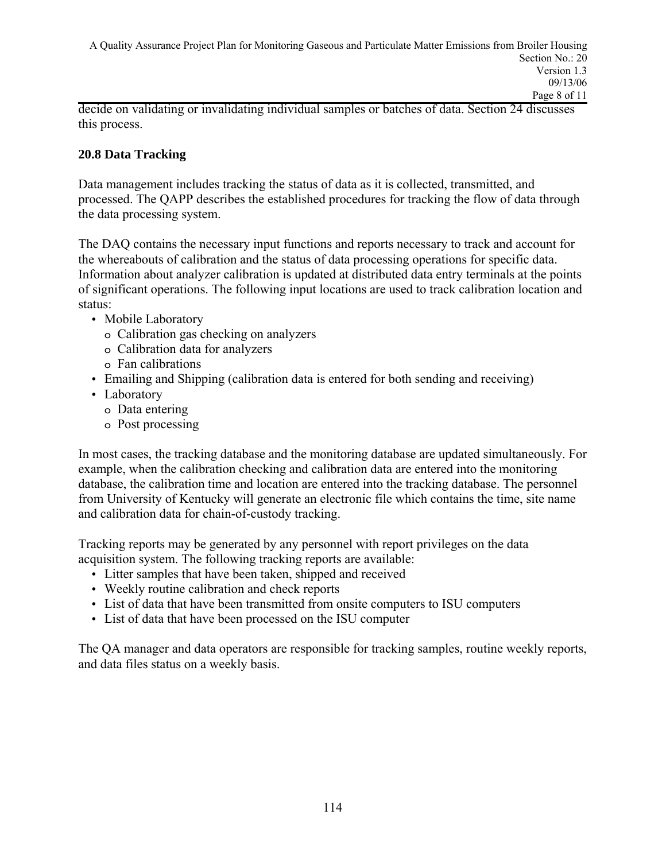decide on validating or invalidating individual samples or batches of data. Section 24 discusses this process.

## **20.8 Data Tracking**

Data management includes tracking the status of data as it is collected, transmitted, and processed. The QAPP describes the established procedures for tracking the flow of data through the data processing system.

The DAQ contains the necessary input functions and reports necessary to track and account for the whereabouts of calibration and the status of data processing operations for specific data. Information about analyzer calibration is updated at distributed data entry terminals at the points of significant operations. The following input locations are used to track calibration location and status:

- Mobile Laboratory
	- o Calibration gas checking on analyzers
	- o Calibration data for analyzers
	- o Fan calibrations
- Emailing and Shipping (calibration data is entered for both sending and receiving)
- Laboratory
	- o Data entering
	- o Post processing

In most cases, the tracking database and the monitoring database are updated simultaneously. For example, when the calibration checking and calibration data are entered into the monitoring database, the calibration time and location are entered into the tracking database. The personnel from University of Kentucky will generate an electronic file which contains the time, site name and calibration data for chain-of-custody tracking.

Tracking reports may be generated by any personnel with report privileges on the data acquisition system. The following tracking reports are available:

- Litter samples that have been taken, shipped and received
- Weekly routine calibration and check reports
- List of data that have been transmitted from onsite computers to ISU computers
- List of data that have been processed on the ISU computer

The QA manager and data operators are responsible for tracking samples, routine weekly reports, and data files status on a weekly basis.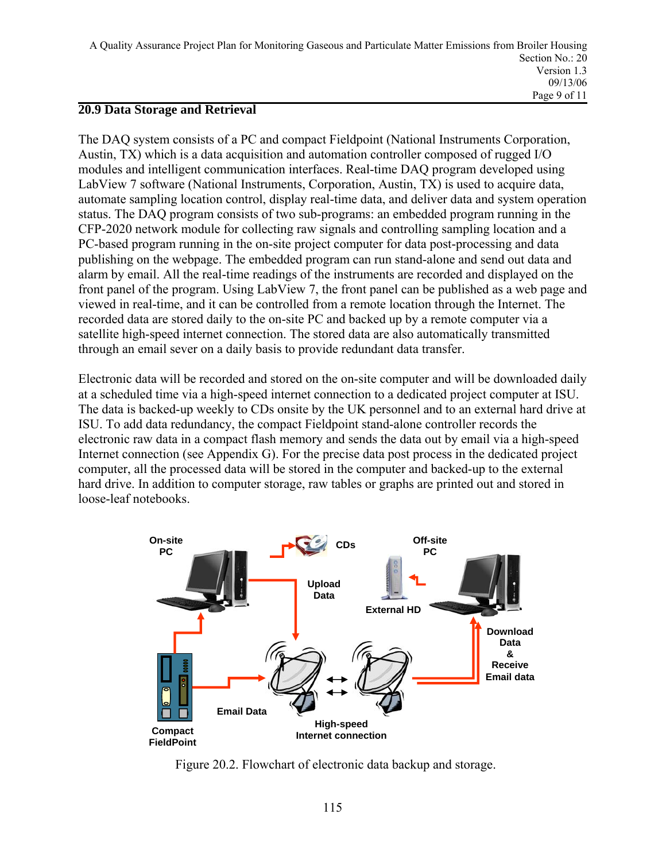### **20.9 Data Storage and Retrieval**

The DAQ system consists of a PC and compact Fieldpoint (National Instruments Corporation, Austin, TX) which is a data acquisition and automation controller composed of rugged I/O modules and intelligent communication interfaces. Real-time DAQ program developed using LabView 7 software (National Instruments, Corporation, Austin, TX) is used to acquire data, automate sampling location control, display real-time data, and deliver data and system operation status. The DAQ program consists of two sub-programs: an embedded program running in the CFP-2020 network module for collecting raw signals and controlling sampling location and a PC-based program running in the on-site project computer for data post-processing and data publishing on the webpage. The embedded program can run stand-alone and send out data and alarm by email. All the real-time readings of the instruments are recorded and displayed on the front panel of the program. Using LabView 7, the front panel can be published as a web page and viewed in real-time, and it can be controlled from a remote location through the Internet. The recorded data are stored daily to the on-site PC and backed up by a remote computer via a satellite high-speed internet connection. The stored data are also automatically transmitted through an email sever on a daily basis to provide redundant data transfer.

Electronic data will be recorded and stored on the on-site computer and will be downloaded daily at a scheduled time via a high-speed internet connection to a dedicated project computer at ISU. The data is backed-up weekly to CDs onsite by the UK personnel and to an external hard drive at ISU. To add data redundancy, the compact Fieldpoint stand-alone controller records the electronic raw data in a compact flash memory and sends the data out by email via a high-speed Internet connection (see Appendix G). For the precise data post process in the dedicated project computer, all the processed data will be stored in the computer and backed-up to the external hard drive. In addition to computer storage, raw tables or graphs are printed out and stored in loose-leaf notebooks.



Figure 20.2. Flowchart of electronic data backup and storage.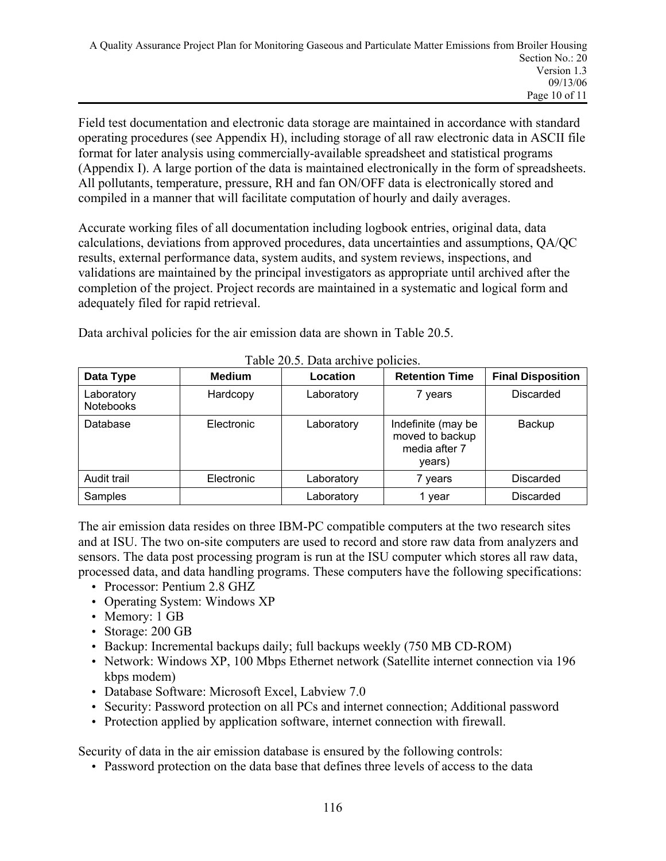Field test documentation and electronic data storage are maintained in accordance with standard operating procedures (see Appendix H), including storage of all raw electronic data in ASCII file format for later analysis using commercially-available spreadsheet and statistical programs (Appendix I). A large portion of the data is maintained electronically in the form of spreadsheets. All pollutants, temperature, pressure, RH and fan ON/OFF data is electronically stored and compiled in a manner that will facilitate computation of hourly and daily averages.

Accurate working files of all documentation including logbook entries, original data, data calculations, deviations from approved procedures, data uncertainties and assumptions, QA/QC results, external performance data, system audits, and system reviews, inspections, and validations are maintained by the principal investigators as appropriate until archived after the completion of the project. Project records are maintained in a systematic and logical form and adequately filed for rapid retrieval.

Data archival policies for the air emission data are shown in Table 20.5.

| Data Type                      | <b>Medium</b> | Location   | <b>Retention Time</b>                                            | <b>Final Disposition</b> |
|--------------------------------|---------------|------------|------------------------------------------------------------------|--------------------------|
| Laboratory<br><b>Notebooks</b> | Hardcopy      | Laboratory | 7 years                                                          | Discarded                |
| Database                       | Electronic    | Laboratory | Indefinite (may be<br>moved to backup<br>media after 7<br>years) | Backup                   |
| Audit trail                    | Electronic    | Laboratory | 7 years                                                          | Discarded                |
| Samples                        |               | Laboratory | 1 year                                                           | Discarded                |

Table 20.5. Data archive policies.

The air emission data resides on three IBM-PC compatible computers at the two research sites and at ISU. The two on-site computers are used to record and store raw data from analyzers and sensors. The data post processing program is run at the ISU computer which stores all raw data, processed data, and data handling programs. These computers have the following specifications:

- Processor: Pentium 2.8 GHZ
- Operating System: Windows XP
- Memory: 1 GB
- Storage: 200 GB
- Backup: Incremental backups daily; full backups weekly (750 MB CD-ROM)
- Network: Windows XP, 100 Mbps Ethernet network (Satellite internet connection via 196 kbps modem)
- Database Software: Microsoft Excel, Labview 7.0
- Security: Password protection on all PCs and internet connection; Additional password
- Protection applied by application software, internet connection with firewall.

Security of data in the air emission database is ensured by the following controls:

• Password protection on the data base that defines three levels of access to the data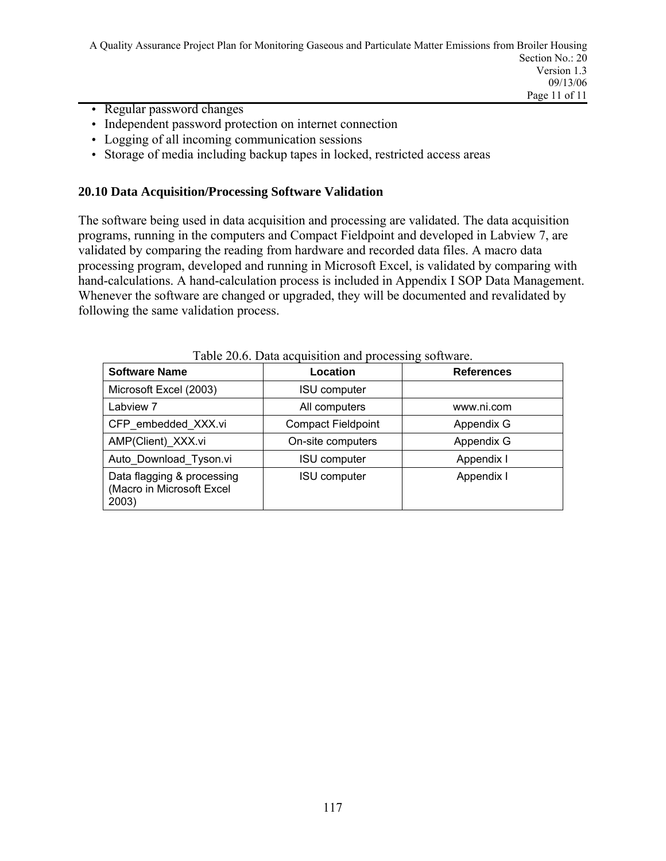A Quality Assurance Project Plan for Monitoring Gaseous and Particulate Matter Emissions from Broiler Housing Section No.: 20 Version 1.3 09/13/06 Page 11 of 11

- Regular password changes
- Independent password protection on internet connection
- Logging of all incoming communication sessions
- Storage of media including backup tapes in locked, restricted access areas

#### **20.10 Data Acquisition/Processing Software Validation**

The software being used in data acquisition and processing are validated. The data acquisition programs, running in the computers and Compact Fieldpoint and developed in Labview 7, are validated by comparing the reading from hardware and recorded data files. A macro data processing program, developed and running in Microsoft Excel, is validated by comparing with hand-calculations. A hand-calculation process is included in Appendix I SOP Data Management. Whenever the software are changed or upgraded, they will be documented and revalidated by following the same validation process.

| <b>Software Name</b>                                             | Location                  | <b>References</b> |
|------------------------------------------------------------------|---------------------------|-------------------|
| Microsoft Excel (2003)                                           | <b>ISU</b> computer       |                   |
| Labview 7                                                        | All computers             | www.ni.com        |
| CFP embedded XXX.vi                                              | <b>Compact Fieldpoint</b> | Appendix G        |
| AMP(Client) XXX.vi                                               | On-site computers         | Appendix G        |
| Auto Download Tyson.vi                                           | <b>ISU</b> computer       | Appendix I        |
| Data flagging & processing<br>(Macro in Microsoft Excel<br>2003) | <b>ISU computer</b>       | Appendix I        |

Table 20.6. Data acquisition and processing software.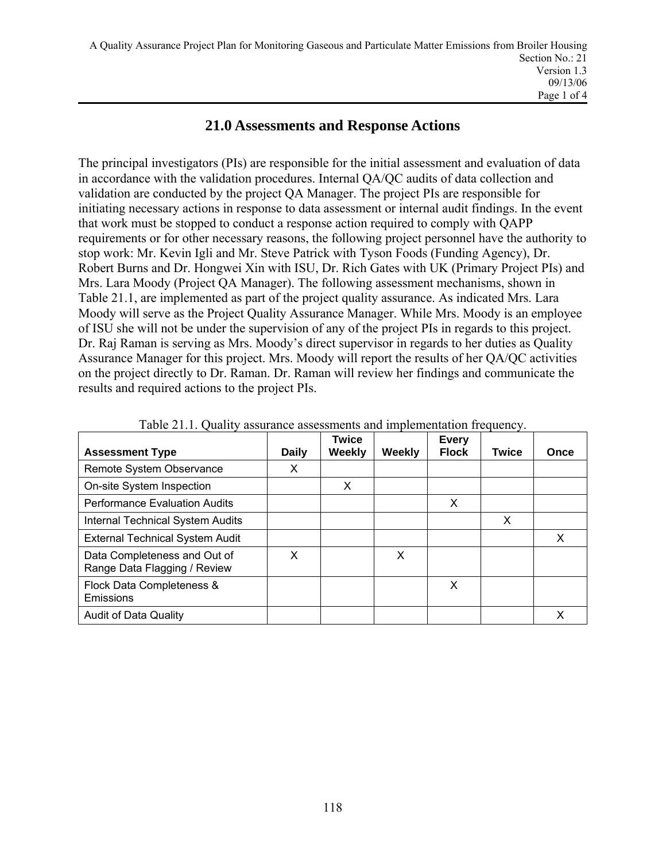## **21.0 Assessments and Response Actions**

The principal investigators (PIs) are responsible for the initial assessment and evaluation of data in accordance with the validation procedures. Internal QA/QC audits of data collection and validation are conducted by the project QA Manager. The project PIs are responsible for initiating necessary actions in response to data assessment or internal audit findings. In the event that work must be stopped to conduct a response action required to comply with QAPP requirements or for other necessary reasons, the following project personnel have the authority to stop work: Mr. Kevin Igli and Mr. Steve Patrick with Tyson Foods (Funding Agency), Dr. Robert Burns and Dr. Hongwei Xin with ISU, Dr. Rich Gates with UK (Primary Project PIs) and Mrs. Lara Moody (Project QA Manager). The following assessment mechanisms, shown in Table 21.1, are implemented as part of the project quality assurance. As indicated Mrs. Lara Moody will serve as the Project Quality Assurance Manager. While Mrs. Moody is an employee of ISU she will not be under the supervision of any of the project PIs in regards to this project. Dr. Raj Raman is serving as Mrs. Moody's direct supervisor in regards to her duties as Quality Assurance Manager for this project. Mrs. Moody will report the results of her QA/QC activities on the project directly to Dr. Raman. Dr. Raman will review her findings and communicate the results and required actions to the project PIs.

| <b>Assessment Type</b>                                       | Daily | <b>Twice</b><br>Weekly | Weekly | <b>Every</b><br><b>Flock</b> | <b>Twice</b> | Once |
|--------------------------------------------------------------|-------|------------------------|--------|------------------------------|--------------|------|
| Remote System Observance                                     | X     |                        |        |                              |              |      |
| On-site System Inspection                                    |       | X                      |        |                              |              |      |
| <b>Performance Evaluation Audits</b>                         |       |                        |        | X                            |              |      |
| <b>Internal Technical System Audits</b>                      |       |                        |        |                              | X            |      |
| <b>External Technical System Audit</b>                       |       |                        |        |                              |              | X    |
| Data Completeness and Out of<br>Range Data Flagging / Review | X     |                        | X      |                              |              |      |
| Flock Data Completeness &<br>Emissions                       |       |                        |        | X                            |              |      |
| <b>Audit of Data Quality</b>                                 |       |                        |        |                              |              | X    |

Table 21.1. Quality assurance assessments and implementation frequency.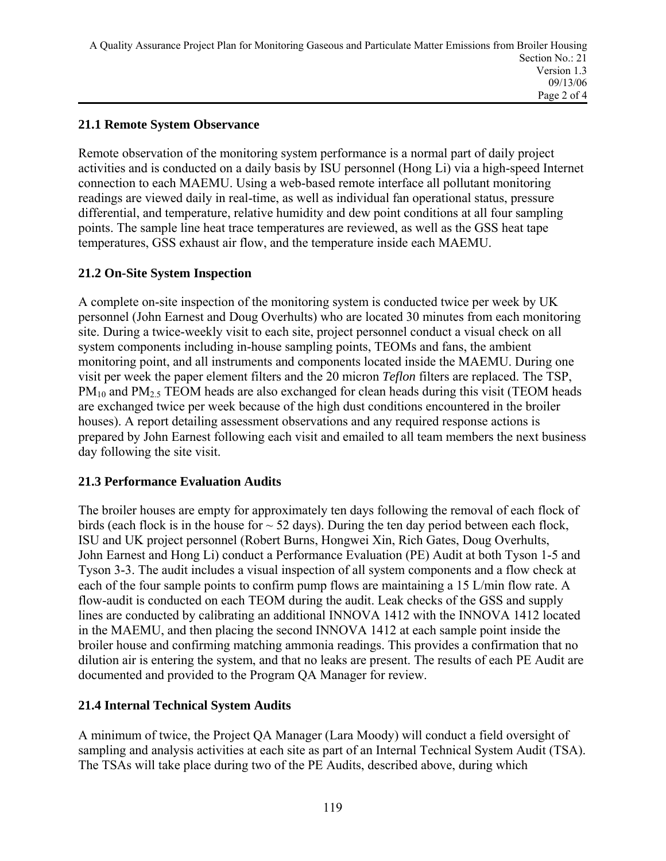## **21.1 Remote System Observance**

Remote observation of the monitoring system performance is a normal part of daily project activities and is conducted on a daily basis by ISU personnel (Hong Li) via a high-speed Internet connection to each MAEMU. Using a web-based remote interface all pollutant monitoring readings are viewed daily in real-time, as well as individual fan operational status, pressure differential, and temperature, relative humidity and dew point conditions at all four sampling points. The sample line heat trace temperatures are reviewed, as well as the GSS heat tape temperatures, GSS exhaust air flow, and the temperature inside each MAEMU.

## **21.2 On-Site System Inspection**

A complete on-site inspection of the monitoring system is conducted twice per week by UK personnel (John Earnest and Doug Overhults) who are located 30 minutes from each monitoring site. During a twice-weekly visit to each site, project personnel conduct a visual check on all system components including in-house sampling points, TEOMs and fans, the ambient monitoring point, and all instruments and components located inside the MAEMU. During one visit per week the paper element filters and the 20 micron *Teflon* filters are replaced. The TSP,  $PM_{10}$  and  $PM_{2.5}$  TEOM heads are also exchanged for clean heads during this visit (TEOM heads are exchanged twice per week because of the high dust conditions encountered in the broiler houses). A report detailing assessment observations and any required response actions is prepared by John Earnest following each visit and emailed to all team members the next business day following the site visit.

## **21.3 Performance Evaluation Audits**

The broiler houses are empty for approximately ten days following the removal of each flock of birds (each flock is in the house for  $\sim$  52 days). During the ten day period between each flock, ISU and UK project personnel (Robert Burns, Hongwei Xin, Rich Gates, Doug Overhults, John Earnest and Hong Li) conduct a Performance Evaluation (PE) Audit at both Tyson 1-5 and Tyson 3-3. The audit includes a visual inspection of all system components and a flow check at each of the four sample points to confirm pump flows are maintaining a 15 L/min flow rate. A flow-audit is conducted on each TEOM during the audit. Leak checks of the GSS and supply lines are conducted by calibrating an additional INNOVA 1412 with the INNOVA 1412 located in the MAEMU, and then placing the second INNOVA 1412 at each sample point inside the broiler house and confirming matching ammonia readings. This provides a confirmation that no dilution air is entering the system, and that no leaks are present. The results of each PE Audit are documented and provided to the Program QA Manager for review.

## **21.4 Internal Technical System Audits**

A minimum of twice, the Project QA Manager (Lara Moody) will conduct a field oversight of sampling and analysis activities at each site as part of an Internal Technical System Audit (TSA). The TSAs will take place during two of the PE Audits, described above, during which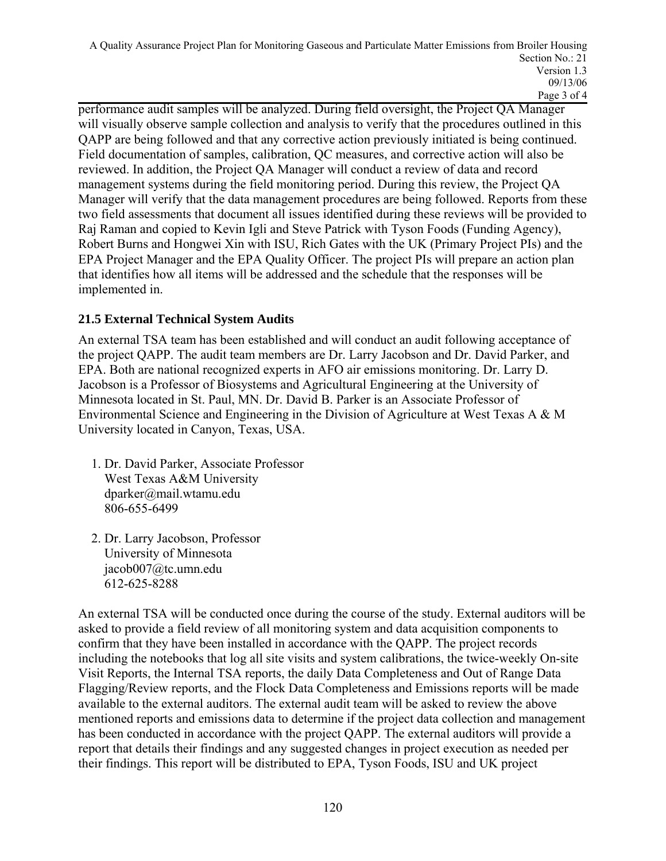performance audit samples will be analyzed. During field oversight, the Project QA Manager will visually observe sample collection and analysis to verify that the procedures outlined in this QAPP are being followed and that any corrective action previously initiated is being continued. Field documentation of samples, calibration, QC measures, and corrective action will also be reviewed. In addition, the Project QA Manager will conduct a review of data and record management systems during the field monitoring period. During this review, the Project QA Manager will verify that the data management procedures are being followed. Reports from these two field assessments that document all issues identified during these reviews will be provided to Raj Raman and copied to Kevin Igli and Steve Patrick with Tyson Foods (Funding Agency), Robert Burns and Hongwei Xin with ISU, Rich Gates with the UK (Primary Project PIs) and the EPA Project Manager and the EPA Quality Officer. The project PIs will prepare an action plan that identifies how all items will be addressed and the schedule that the responses will be implemented in.

## **21.5 External Technical System Audits**

An external TSA team has been established and will conduct an audit following acceptance of the project QAPP. The audit team members are Dr. Larry Jacobson and Dr. David Parker, and EPA. Both are national recognized experts in AFO air emissions monitoring. Dr. Larry D. Jacobson is a Professor of Biosystems and Agricultural Engineering at the University of Minnesota located in St. Paul, MN. Dr. David B. Parker is an Associate Professor of Environmental Science and Engineering in the Division of Agriculture at West Texas A & M University located in Canyon, Texas, USA.

- 1. Dr. David Parker, Associate Professor West Texas A&M University dparker@mail.wtamu.edu 806-655-6499
- 2. Dr. Larry Jacobson, Professor University of Minnesota jacob007@tc.umn.edu 612-625-8288

An external TSA will be conducted once during the course of the study. External auditors will be asked to provide a field review of all monitoring system and data acquisition components to confirm that they have been installed in accordance with the QAPP. The project records including the notebooks that log all site visits and system calibrations, the twice-weekly On-site Visit Reports, the Internal TSA reports, the daily Data Completeness and Out of Range Data Flagging/Review reports, and the Flock Data Completeness and Emissions reports will be made available to the external auditors. The external audit team will be asked to review the above mentioned reports and emissions data to determine if the project data collection and management has been conducted in accordance with the project QAPP. The external auditors will provide a report that details their findings and any suggested changes in project execution as needed per their findings. This report will be distributed to EPA, Tyson Foods, ISU and UK project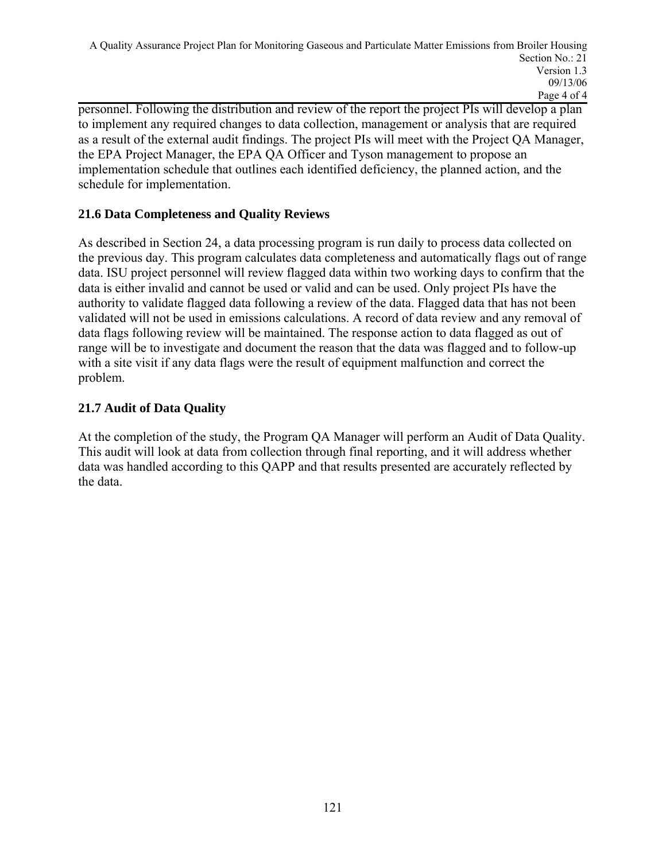personnel. Following the distribution and review of the report the project PIs will develop a plan to implement any required changes to data collection, management or analysis that are required as a result of the external audit findings. The project PIs will meet with the Project QA Manager, the EPA Project Manager, the EPA QA Officer and Tyson management to propose an implementation schedule that outlines each identified deficiency, the planned action, and the schedule for implementation.

## **21.6 Data Completeness and Quality Reviews**

As described in Section 24, a data processing program is run daily to process data collected on the previous day. This program calculates data completeness and automatically flags out of range data. ISU project personnel will review flagged data within two working days to confirm that the data is either invalid and cannot be used or valid and can be used. Only project PIs have the authority to validate flagged data following a review of the data. Flagged data that has not been validated will not be used in emissions calculations. A record of data review and any removal of data flags following review will be maintained. The response action to data flagged as out of range will be to investigate and document the reason that the data was flagged and to follow-up with a site visit if any data flags were the result of equipment malfunction and correct the problem.

## **21.7 Audit of Data Quality**

At the completion of the study, the Program QA Manager will perform an Audit of Data Quality. This audit will look at data from collection through final reporting, and it will address whether data was handled according to this QAPP and that results presented are accurately reflected by the data.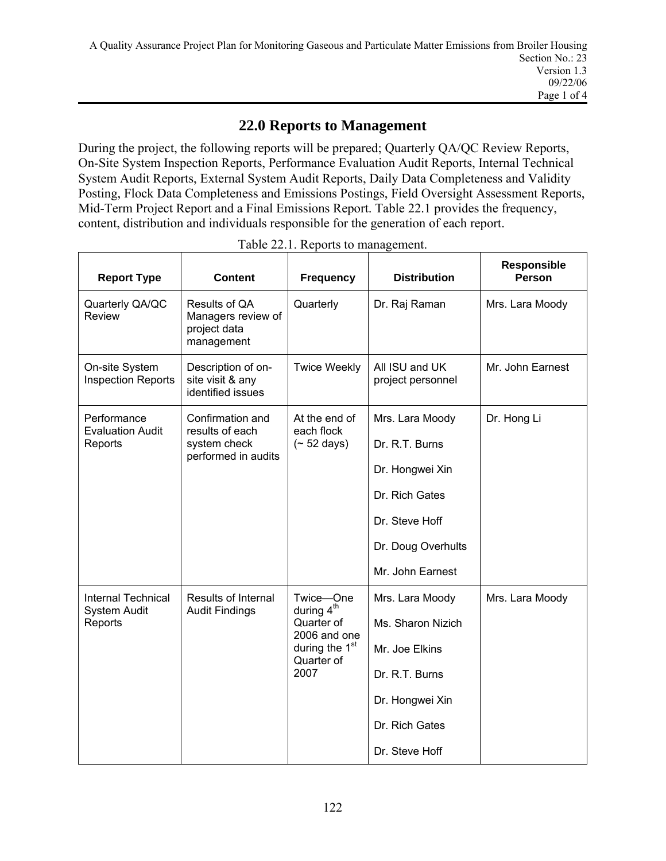## **22.0 Reports to Management**

During the project, the following reports will be prepared; Quarterly QA/QC Review Reports, On-Site System Inspection Reports, Performance Evaluation Audit Reports, Internal Technical System Audit Reports, External System Audit Reports, Daily Data Completeness and Validity Posting, Flock Data Completeness and Emissions Postings, Field Oversight Assessment Reports, Mid-Term Project Report and a Final Emissions Report. Table 22.1 provides the frequency, content, distribution and individuals responsible for the generation of each report.

| <b>Report Type</b>                               | <b>Content</b>                                                                      | Frequency                                                                      | <b>Distribution</b>                 | <b>Responsible</b><br><b>Person</b> |
|--------------------------------------------------|-------------------------------------------------------------------------------------|--------------------------------------------------------------------------------|-------------------------------------|-------------------------------------|
| Quarterly QA/QC<br>Review                        | Results of QA<br>Managers review of<br>project data<br>management                   | Quarterly                                                                      | Dr. Raj Raman                       | Mrs. Lara Moody                     |
| On-site System<br><b>Inspection Reports</b>      | Description of on-<br>site visit & any<br>identified issues                         | <b>Twice Weekly</b>                                                            | All ISU and UK<br>project personnel | Mr. John Earnest                    |
| Performance<br><b>Evaluation Audit</b>           | Confirmation and<br>results of each                                                 | At the end of<br>each flock                                                    | Mrs. Lara Moody                     | Dr. Hong Li                         |
| Reports                                          | system check<br>performed in audits                                                 | $($ ~ 52 days)                                                                 | Dr. R.T. Burns                      |                                     |
|                                                  |                                                                                     |                                                                                | Dr. Hongwei Xin                     |                                     |
|                                                  |                                                                                     |                                                                                | Dr. Rich Gates                      |                                     |
|                                                  |                                                                                     |                                                                                | Dr. Steve Hoff                      |                                     |
|                                                  |                                                                                     | Dr. Doug Overhults                                                             |                                     |                                     |
|                                                  |                                                                                     |                                                                                | Mr. John Earnest                    |                                     |
| <b>Internal Technical</b><br><b>System Audit</b> | Results of Internal<br>Twice-One<br>during 4 <sup>th</sup><br><b>Audit Findings</b> |                                                                                | Mrs. Lara Moody                     | Mrs. Lara Moody                     |
| Reports                                          |                                                                                     | Quarter of<br>2006 and one<br>during the 1 <sup>st</sup><br>Quarter of<br>2007 | Ms. Sharon Nizich                   |                                     |
|                                                  |                                                                                     |                                                                                | Mr. Joe Elkins                      |                                     |
|                                                  |                                                                                     |                                                                                | Dr. R.T. Burns                      |                                     |
|                                                  |                                                                                     |                                                                                | Dr. Hongwei Xin                     |                                     |
|                                                  |                                                                                     |                                                                                | Dr. Rich Gates                      |                                     |
|                                                  |                                                                                     |                                                                                | Dr. Steve Hoff                      |                                     |

Table 22.1. Reports to management.

Ē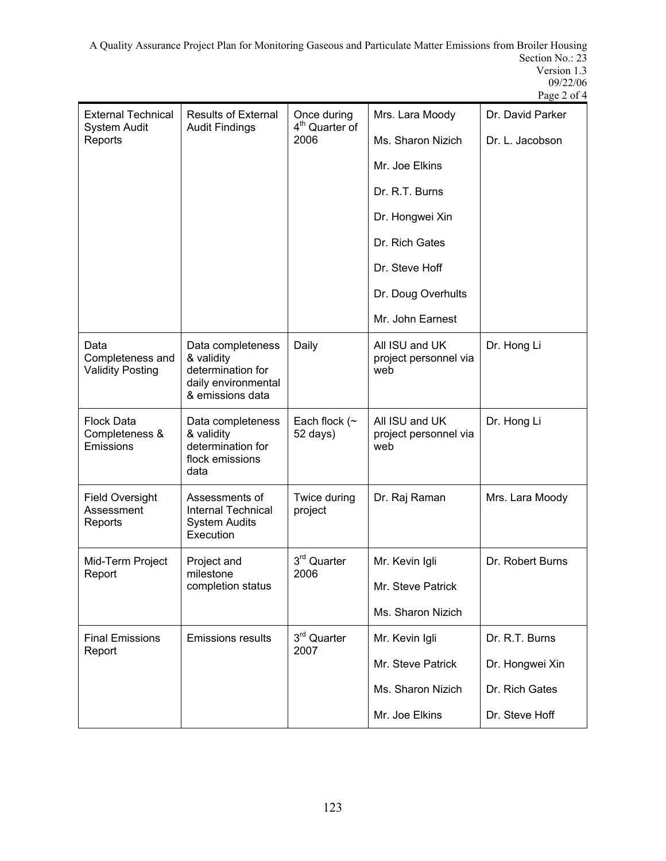A Quality Assurance Project Plan for Monitoring Gaseous and Particulate Matter Emissions from Broiler Housing Section No.: 23 Version 1.3 09/22/06

|                                                     |                                                                                                 |                                           |                                                | Page 2 of 4      |
|-----------------------------------------------------|-------------------------------------------------------------------------------------------------|-------------------------------------------|------------------------------------------------|------------------|
| <b>External Technical</b><br><b>System Audit</b>    | <b>Results of External</b><br><b>Audit Findings</b>                                             | Once during<br>4 <sup>th</sup> Quarter of | Mrs. Lara Moody                                | Dr. David Parker |
| Reports                                             |                                                                                                 | 2006                                      | Ms. Sharon Nizich                              | Dr. L. Jacobson  |
|                                                     |                                                                                                 |                                           | Mr. Joe Elkins                                 |                  |
|                                                     |                                                                                                 |                                           | Dr. R.T. Burns                                 |                  |
|                                                     |                                                                                                 |                                           | Dr. Hongwei Xin                                |                  |
|                                                     |                                                                                                 |                                           | Dr. Rich Gates                                 |                  |
|                                                     |                                                                                                 |                                           | Dr. Steve Hoff                                 |                  |
|                                                     |                                                                                                 |                                           | Dr. Doug Overhults                             |                  |
|                                                     |                                                                                                 |                                           | Mr. John Earnest                               |                  |
| Data<br>Completeness and<br><b>Validity Posting</b> | Data completeness<br>& validity<br>determination for<br>daily environmental<br>& emissions data | Daily                                     | All ISU and UK<br>project personnel via<br>web | Dr. Hong Li      |
| <b>Flock Data</b><br>Completeness &<br>Emissions    | Data completeness<br>& validity<br>determination for<br>flock emissions<br>data                 | Each flock $(\sim$<br>52 days)            | All ISU and UK<br>project personnel via<br>web | Dr. Hong Li      |
| <b>Field Oversight</b><br>Assessment<br>Reports     | Assessments of<br><b>Internal Technical</b><br><b>System Audits</b><br>Execution                | Twice during<br>project                   | Dr. Raj Raman                                  | Mrs. Lara Moody  |
| Mid-Term Project                                    | Project and                                                                                     | 3 <sup>rd</sup> Quarter                   | Mr. Kevin Igli                                 | Dr. Robert Burns |
| Report                                              | milestone<br>completion status                                                                  | 2006                                      | Mr. Steve Patrick                              |                  |
|                                                     |                                                                                                 |                                           | Ms. Sharon Nizich                              |                  |
| <b>Final Emissions</b>                              | <b>Emissions results</b>                                                                        | 3rd Quarter                               | Mr. Kevin Igli                                 | Dr. R.T. Burns   |
| Report                                              |                                                                                                 | 2007                                      | Mr. Steve Patrick                              | Dr. Hongwei Xin  |
|                                                     |                                                                                                 |                                           | Ms. Sharon Nizich                              | Dr. Rich Gates   |
|                                                     |                                                                                                 |                                           | Mr. Joe Elkins                                 | Dr. Steve Hoff   |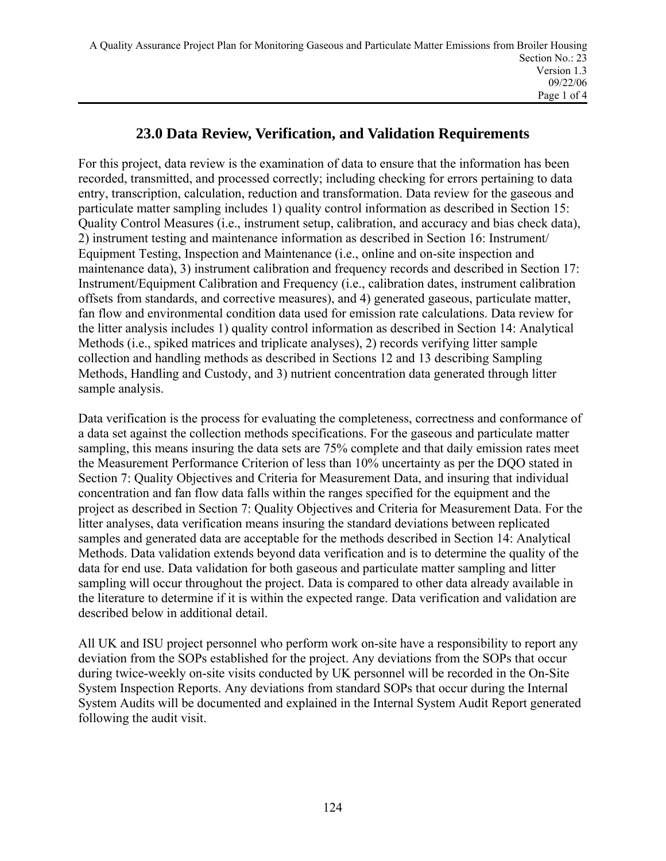## **23.0 Data Review, Verification, and Validation Requirements**

For this project, data review is the examination of data to ensure that the information has been recorded, transmitted, and processed correctly; including checking for errors pertaining to data entry, transcription, calculation, reduction and transformation. Data review for the gaseous and particulate matter sampling includes 1) quality control information as described in Section 15: Quality Control Measures (i.e., instrument setup, calibration, and accuracy and bias check data), 2) instrument testing and maintenance information as described in Section 16: Instrument/ Equipment Testing, Inspection and Maintenance (i.e., online and on-site inspection and maintenance data), 3) instrument calibration and frequency records and described in Section 17: Instrument/Equipment Calibration and Frequency (i.e., calibration dates, instrument calibration offsets from standards, and corrective measures), and 4) generated gaseous, particulate matter, fan flow and environmental condition data used for emission rate calculations. Data review for the litter analysis includes 1) quality control information as described in Section 14: Analytical Methods (i.e., spiked matrices and triplicate analyses), 2) records verifying litter sample collection and handling methods as described in Sections 12 and 13 describing Sampling Methods, Handling and Custody, and 3) nutrient concentration data generated through litter sample analysis.

Data verification is the process for evaluating the completeness, correctness and conformance of a data set against the collection methods specifications. For the gaseous and particulate matter sampling, this means insuring the data sets are 75% complete and that daily emission rates meet the Measurement Performance Criterion of less than 10% uncertainty as per the DQO stated in Section 7: Quality Objectives and Criteria for Measurement Data, and insuring that individual concentration and fan flow data falls within the ranges specified for the equipment and the project as described in Section 7: Quality Objectives and Criteria for Measurement Data. For the litter analyses, data verification means insuring the standard deviations between replicated samples and generated data are acceptable for the methods described in Section 14: Analytical Methods. Data validation extends beyond data verification and is to determine the quality of the data for end use. Data validation for both gaseous and particulate matter sampling and litter sampling will occur throughout the project. Data is compared to other data already available in the literature to determine if it is within the expected range. Data verification and validation are described below in additional detail.

All UK and ISU project personnel who perform work on-site have a responsibility to report any deviation from the SOPs established for the project. Any deviations from the SOPs that occur during twice-weekly on-site visits conducted by UK personnel will be recorded in the On-Site System Inspection Reports. Any deviations from standard SOPs that occur during the Internal System Audits will be documented and explained in the Internal System Audit Report generated following the audit visit.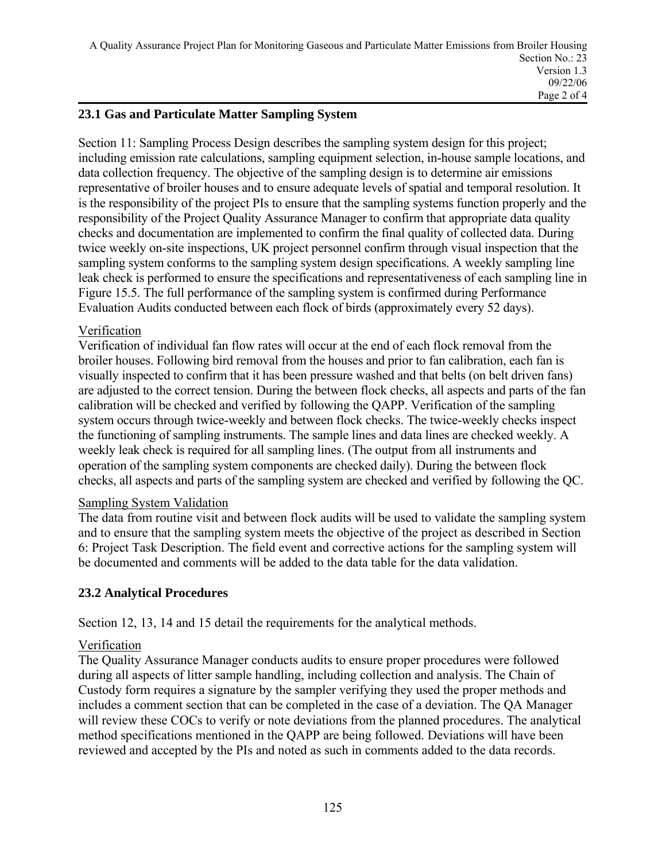## **23.1 Gas and Particulate Matter Sampling System**

Section 11: Sampling Process Design describes the sampling system design for this project; including emission rate calculations, sampling equipment selection, in-house sample locations, and data collection frequency. The objective of the sampling design is to determine air emissions representative of broiler houses and to ensure adequate levels of spatial and temporal resolution. It is the responsibility of the project PIs to ensure that the sampling systems function properly and the responsibility of the Project Quality Assurance Manager to confirm that appropriate data quality checks and documentation are implemented to confirm the final quality of collected data. During twice weekly on-site inspections, UK project personnel confirm through visual inspection that the sampling system conforms to the sampling system design specifications. A weekly sampling line leak check is performed to ensure the specifications and representativeness of each sampling line in Figure 15.5. The full performance of the sampling system is confirmed during Performance Evaluation Audits conducted between each flock of birds (approximately every 52 days).

### Verification

Verification of individual fan flow rates will occur at the end of each flock removal from the broiler houses. Following bird removal from the houses and prior to fan calibration, each fan is visually inspected to confirm that it has been pressure washed and that belts (on belt driven fans) are adjusted to the correct tension. During the between flock checks, all aspects and parts of the fan calibration will be checked and verified by following the QAPP. Verification of the sampling system occurs through twice-weekly and between flock checks. The twice-weekly checks inspect the functioning of sampling instruments. The sample lines and data lines are checked weekly. A weekly leak check is required for all sampling lines. (The output from all instruments and operation of the sampling system components are checked daily). During the between flock checks, all aspects and parts of the sampling system are checked and verified by following the QC.

### Sampling System Validation

The data from routine visit and between flock audits will be used to validate the sampling system and to ensure that the sampling system meets the objective of the project as described in Section 6: Project Task Description. The field event and corrective actions for the sampling system will be documented and comments will be added to the data table for the data validation.

## **23.2 Analytical Procedures**

Section 12, 13, 14 and 15 detail the requirements for the analytical methods.

### Verification

The Quality Assurance Manager conducts audits to ensure proper procedures were followed during all aspects of litter sample handling, including collection and analysis. The Chain of Custody form requires a signature by the sampler verifying they used the proper methods and includes a comment section that can be completed in the case of a deviation. The QA Manager will review these COCs to verify or note deviations from the planned procedures. The analytical method specifications mentioned in the QAPP are being followed. Deviations will have been reviewed and accepted by the PIs and noted as such in comments added to the data records.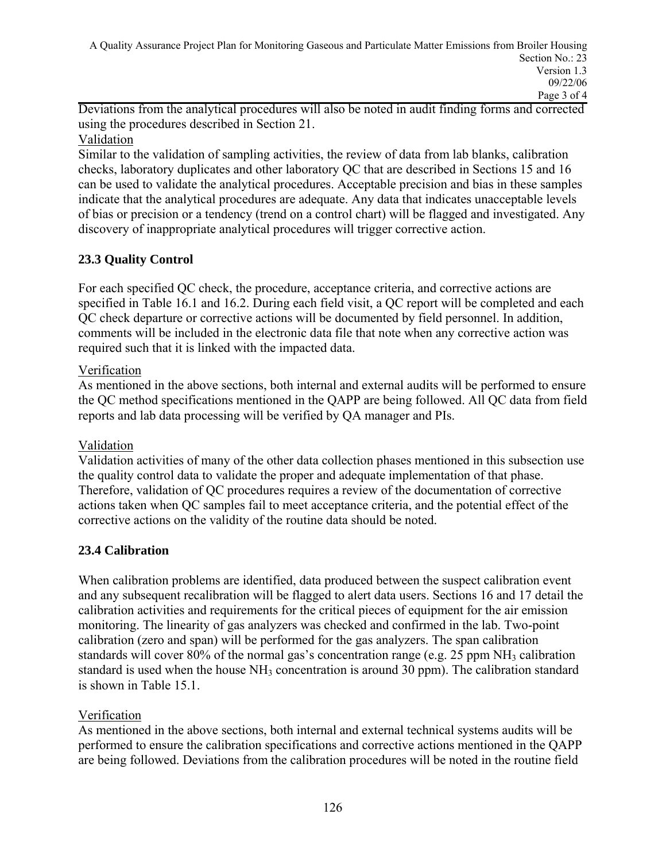Deviations from the analytical procedures will also be noted in audit finding forms and corrected using the procedures described in Section 21.

### Validation

Similar to the validation of sampling activities, the review of data from lab blanks, calibration checks, laboratory duplicates and other laboratory QC that are described in Sections 15 and 16 can be used to validate the analytical procedures. Acceptable precision and bias in these samples indicate that the analytical procedures are adequate. Any data that indicates unacceptable levels of bias or precision or a tendency (trend on a control chart) will be flagged and investigated. Any discovery of inappropriate analytical procedures will trigger corrective action.

## **23.3 Quality Control**

For each specified QC check, the procedure, acceptance criteria, and corrective actions are specified in Table 16.1 and 16.2. During each field visit, a QC report will be completed and each QC check departure or corrective actions will be documented by field personnel. In addition, comments will be included in the electronic data file that note when any corrective action was required such that it is linked with the impacted data.

### Verification

As mentioned in the above sections, both internal and external audits will be performed to ensure the QC method specifications mentioned in the QAPP are being followed. All QC data from field reports and lab data processing will be verified by QA manager and PIs.

### Validation

Validation activities of many of the other data collection phases mentioned in this subsection use the quality control data to validate the proper and adequate implementation of that phase. Therefore, validation of QC procedures requires a review of the documentation of corrective actions taken when QC samples fail to meet acceptance criteria, and the potential effect of the corrective actions on the validity of the routine data should be noted.

### **23.4 Calibration**

When calibration problems are identified, data produced between the suspect calibration event and any subsequent recalibration will be flagged to alert data users. Sections 16 and 17 detail the calibration activities and requirements for the critical pieces of equipment for the air emission monitoring. The linearity of gas analyzers was checked and confirmed in the lab. Two-point calibration (zero and span) will be performed for the gas analyzers. The span calibration standards will cover 80% of the normal gas's concentration range (e.g. 25 ppm  $NH_3$  calibration standard is used when the house  $NH_3$  concentration is around 30 ppm). The calibration standard is shown in Table 15.1.

### Verification

As mentioned in the above sections, both internal and external technical systems audits will be performed to ensure the calibration specifications and corrective actions mentioned in the QAPP are being followed. Deviations from the calibration procedures will be noted in the routine field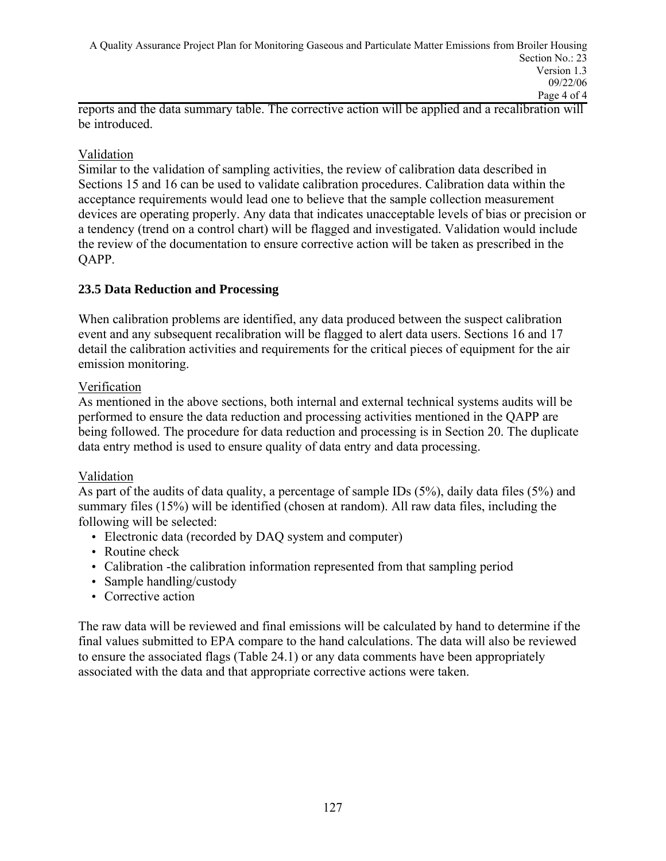reports and the data summary table. The corrective action will be applied and a recalibration will be introduced.

### Validation

Similar to the validation of sampling activities, the review of calibration data described in Sections 15 and 16 can be used to validate calibration procedures. Calibration data within the acceptance requirements would lead one to believe that the sample collection measurement devices are operating properly. Any data that indicates unacceptable levels of bias or precision or a tendency (trend on a control chart) will be flagged and investigated. Validation would include the review of the documentation to ensure corrective action will be taken as prescribed in the QAPP.

### **23.5 Data Reduction and Processing**

When calibration problems are identified, any data produced between the suspect calibration event and any subsequent recalibration will be flagged to alert data users. Sections 16 and 17 detail the calibration activities and requirements for the critical pieces of equipment for the air emission monitoring.

### Verification

As mentioned in the above sections, both internal and external technical systems audits will be performed to ensure the data reduction and processing activities mentioned in the QAPP are being followed. The procedure for data reduction and processing is in Section 20. The duplicate data entry method is used to ensure quality of data entry and data processing.

### Validation

As part of the audits of data quality, a percentage of sample IDs (5%), daily data files (5%) and summary files (15%) will be identified (chosen at random). All raw data files, including the following will be selected:

- Electronic data (recorded by DAQ system and computer)
- Routine check
- Calibration -the calibration information represented from that sampling period
- Sample handling/custody
- Corrective action

The raw data will be reviewed and final emissions will be calculated by hand to determine if the final values submitted to EPA compare to the hand calculations. The data will also be reviewed to ensure the associated flags (Table 24.1) or any data comments have been appropriately associated with the data and that appropriate corrective actions were taken.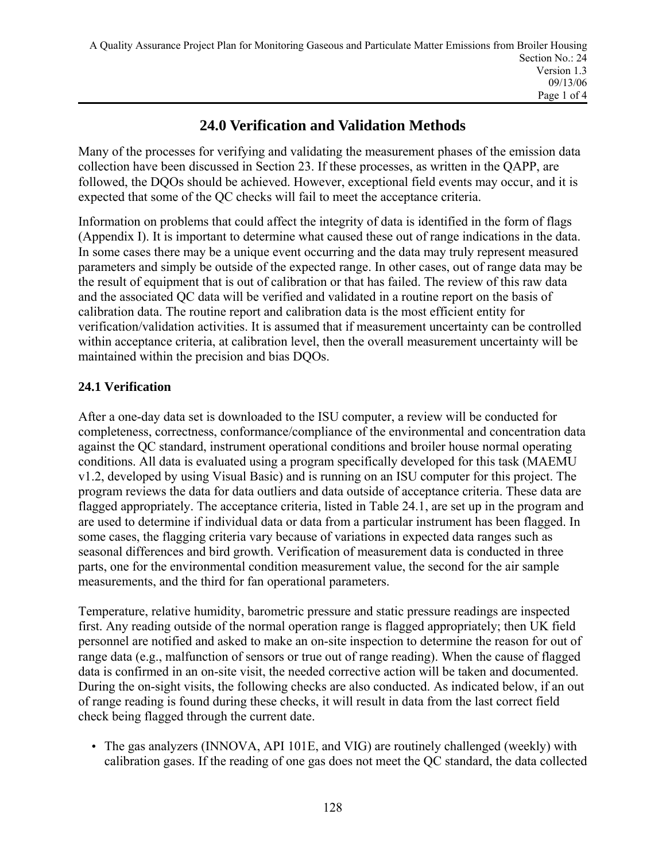## **24.0 Verification and Validation Methods**

Many of the processes for verifying and validating the measurement phases of the emission data collection have been discussed in Section 23. If these processes, as written in the QAPP, are followed, the DQOs should be achieved. However, exceptional field events may occur, and it is expected that some of the QC checks will fail to meet the acceptance criteria.

Information on problems that could affect the integrity of data is identified in the form of flags (Appendix I). It is important to determine what caused these out of range indications in the data. In some cases there may be a unique event occurring and the data may truly represent measured parameters and simply be outside of the expected range. In other cases, out of range data may be the result of equipment that is out of calibration or that has failed. The review of this raw data and the associated QC data will be verified and validated in a routine report on the basis of calibration data. The routine report and calibration data is the most efficient entity for verification/validation activities. It is assumed that if measurement uncertainty can be controlled within acceptance criteria, at calibration level, then the overall measurement uncertainty will be maintained within the precision and bias DQOs.

## **24.1 Verification**

After a one-day data set is downloaded to the ISU computer, a review will be conducted for completeness, correctness, conformance/compliance of the environmental and concentration data against the QC standard, instrument operational conditions and broiler house normal operating conditions. All data is evaluated using a program specifically developed for this task (MAEMU v1.2, developed by using Visual Basic) and is running on an ISU computer for this project. The program reviews the data for data outliers and data outside of acceptance criteria. These data are flagged appropriately. The acceptance criteria, listed in Table 24.1, are set up in the program and are used to determine if individual data or data from a particular instrument has been flagged. In some cases, the flagging criteria vary because of variations in expected data ranges such as seasonal differences and bird growth. Verification of measurement data is conducted in three parts, one for the environmental condition measurement value, the second for the air sample measurements, and the third for fan operational parameters.

Temperature, relative humidity, barometric pressure and static pressure readings are inspected first. Any reading outside of the normal operation range is flagged appropriately; then UK field personnel are notified and asked to make an on-site inspection to determine the reason for out of range data (e.g., malfunction of sensors or true out of range reading). When the cause of flagged data is confirmed in an on-site visit, the needed corrective action will be taken and documented. During the on-sight visits, the following checks are also conducted. As indicated below, if an out of range reading is found during these checks, it will result in data from the last correct field check being flagged through the current date.

• The gas analyzers (INNOVA, API 101E, and VIG) are routinely challenged (weekly) with calibration gases. If the reading of one gas does not meet the QC standard, the data collected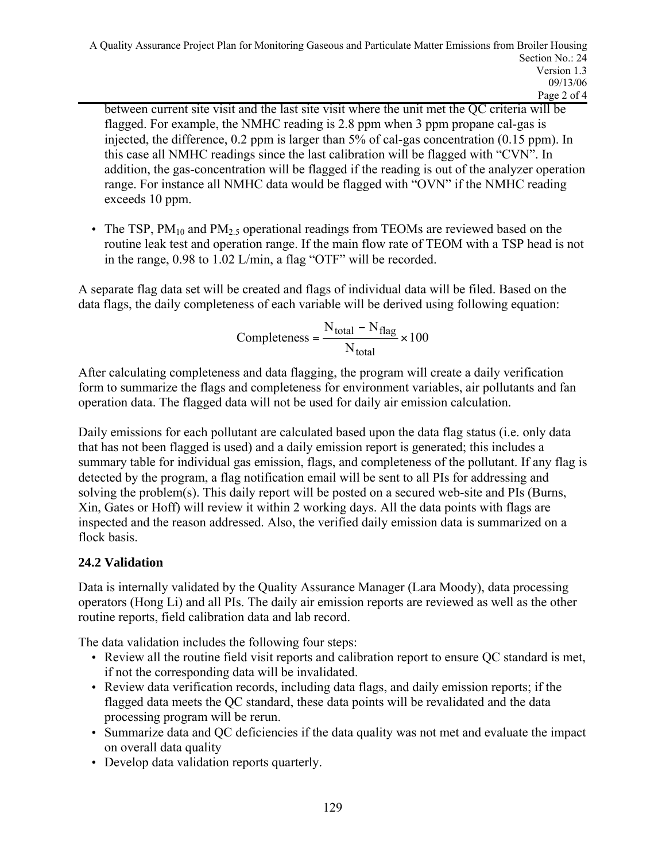between current site visit and the last site visit where the unit met the QC criteria will be flagged. For example, the NMHC reading is 2.8 ppm when 3 ppm propane cal-gas is injected, the difference, 0.2 ppm is larger than 5% of cal-gas concentration (0.15 ppm). In this case all NMHC readings since the last calibration will be flagged with "CVN". In addition, the gas-concentration will be flagged if the reading is out of the analyzer operation range. For instance all NMHC data would be flagged with "OVN" if the NMHC reading exceeds 10 ppm.

• The TSP,  $PM_{10}$  and  $PM_{25}$  operational readings from TEOMs are reviewed based on the routine leak test and operation range. If the main flow rate of TEOM with a TSP head is not in the range, 0.98 to 1.02 L/min, a flag "OTF" will be recorded.

A separate flag data set will be created and flags of individual data will be filed. Based on the data flags, the daily completeness of each variable will be derived using following equation:

$$
Completeness = \frac{N_{total} - N_{flag}}{N_{total}} \times 100
$$

After calculating completeness and data flagging, the program will create a daily verification form to summarize the flags and completeness for environment variables, air pollutants and fan operation data. The flagged data will not be used for daily air emission calculation.

Daily emissions for each pollutant are calculated based upon the data flag status (i.e. only data that has not been flagged is used) and a daily emission report is generated; this includes a summary table for individual gas emission, flags, and completeness of the pollutant. If any flag is detected by the program, a flag notification email will be sent to all PIs for addressing and solving the problem(s). This daily report will be posted on a secured web-site and PIs (Burns, Xin, Gates or Hoff) will review it within 2 working days. All the data points with flags are inspected and the reason addressed. Also, the verified daily emission data is summarized on a flock basis.

## **24.2 Validation**

Data is internally validated by the Quality Assurance Manager (Lara Moody), data processing operators (Hong Li) and all PIs. The daily air emission reports are reviewed as well as the other routine reports, field calibration data and lab record.

The data validation includes the following four steps:

- Review all the routine field visit reports and calibration report to ensure QC standard is met, if not the corresponding data will be invalidated.
- Review data verification records, including data flags, and daily emission reports; if the flagged data meets the QC standard, these data points will be revalidated and the data processing program will be rerun.
- Summarize data and QC deficiencies if the data quality was not met and evaluate the impact on overall data quality
- Develop data validation reports quarterly.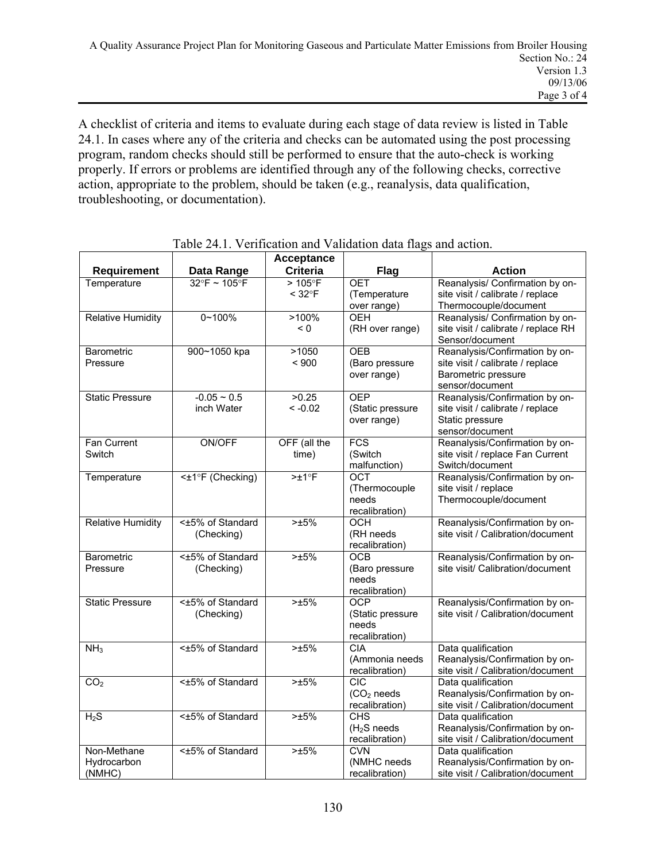A checklist of criteria and items to evaluate during each stage of data review is listed in Table 24.1. In cases where any of the criteria and checks can be automated using the post processing program, random checks should still be performed to ensure that the auto-check is working properly. If errors or problems are identified through any of the following checks, corrective action, appropriate to the problem, should be taken (e.g., reanalysis, data qualification, troubleshooting, or documentation).

|                                      |                                   | <b>Acceptance</b>            |                                                           |                                                                                                              |
|--------------------------------------|-----------------------------------|------------------------------|-----------------------------------------------------------|--------------------------------------------------------------------------------------------------------------|
| <b>Requirement</b>                   | Data Range                        | <b>Criteria</b>              | Flag                                                      | <b>Action</b>                                                                                                |
| Temperature                          | $32^{\circ}$ F ~ 105 $^{\circ}$ F | $>105$ °F<br>$< 32^{\circ}F$ | <b>OET</b><br>(Temperature<br>over range)                 | Reanalysis/ Confirmation by on-<br>site visit / calibrate / replace<br>Thermocouple/document                 |
| <b>Relative Humidity</b>             | $0 - 100%$                        | >100%<br>< 0                 | <b>OEH</b><br>(RH over range)                             | Reanalysis/ Confirmation by on-<br>site visit / calibrate / replace RH<br>Sensor/document                    |
| Barometric<br>Pressure               | 900~1050 kpa                      | >1050<br>< 900               | <b>OEB</b><br>(Baro pressure<br>over range)               | Reanalysis/Confirmation by on-<br>site visit / calibrate / replace<br>Barometric pressure<br>sensor/document |
| <b>Static Pressure</b>               | $-0.05 - 0.5$<br>inch Water       | >0.25<br>$< -0.02$           | <b>OEP</b><br>(Static pressure<br>over range)             | Reanalysis/Confirmation by on-<br>site visit / calibrate / replace<br>Static pressure<br>sensor/document     |
| Fan Current<br>Switch                | <b>ON/OFF</b>                     | OFF (all the<br>time)        | $\overline{FCS}$<br>(Switch<br>malfunction)               | Reanalysis/Confirmation by on-<br>site visit / replace Fan Current<br>Switch/document                        |
| Temperature                          | <±1°F (Checking)                  | >±1°F                        | OCT<br>(Thermocouple<br>needs<br>recalibration)           | Reanalysis/Confirmation by on-<br>site visit / replace<br>Thermocouple/document                              |
| <b>Relative Humidity</b>             | <±5% of Standard<br>(Checking)    | $>15\%$                      | <b>OCH</b><br>(RH needs<br>recalibration)                 | Reanalysis/Confirmation by on-<br>site visit / Calibration/document                                          |
| <b>Barometric</b><br>Pressure        | <±5% of Standard<br>(Checking)    | >15%                         | OCB<br>(Baro pressure<br>needs<br>recalibration)          | Reanalysis/Confirmation by on-<br>site visit/ Calibration/document                                           |
| <b>Static Pressure</b>               | <±5% of Standard<br>(Checking)    | $>±5\%$                      | <b>OCP</b><br>(Static pressure<br>needs<br>recalibration) | Reanalysis/Confirmation by on-<br>site visit / Calibration/document                                          |
| NH <sub>3</sub>                      | <±5% of Standard                  | $>±5\%$                      | <b>CIA</b><br>(Ammonia needs<br>recalibration)            | Data qualification<br>Reanalysis/Confirmation by on-<br>site visit / Calibration/document                    |
| CO <sub>2</sub>                      | <±5% of Standard                  | $> \pm 5\%$                  | CIC<br>(CO <sub>2</sub> needs<br>recalibration)           | Data qualification<br>Reanalysis/Confirmation by on-<br>site visit / Calibration/document                    |
| $H_2S$                               | <±5% of Standard                  | $> \pm 5\%$                  | <b>CHS</b><br>$(H2S$ needs<br>recalibration)              | Data qualification<br>Reanalysis/Confirmation by on-<br>site visit / Calibration/document                    |
| Non-Methane<br>Hydrocarbon<br>(NMHC) | <±5% of Standard                  | $>\pm 5\%$                   | <b>CVN</b><br>(NMHC needs<br>recalibration)               | Data qualification<br>Reanalysis/Confirmation by on-<br>site visit / Calibration/document                    |

Table 24.1. Verification and Validation data flags and action.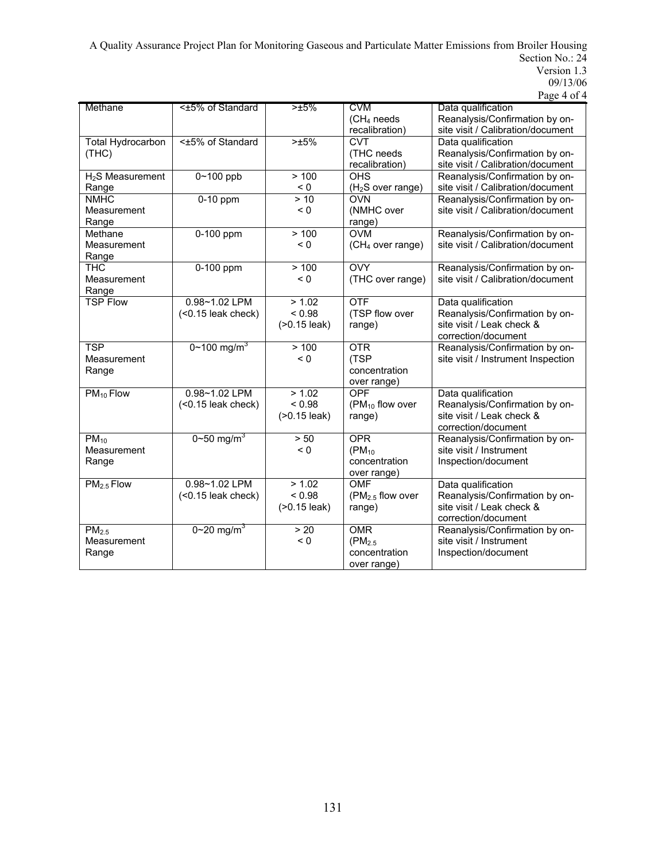A Quality Assurance Project Plan for Monitoring Gaseous and Particulate Matter Emissions from Broiler Housing Section No.: 24 Version 1.3

| 09/13/06 |
|----------|
|----------|

|  | Page 4 of 4 |  |  |  |
|--|-------------|--|--|--|
|--|-------------|--|--|--|

| Methane                      | <±5% of Standard         | >15%             | <b>CVM</b>                    | Data qualification                 |
|------------------------------|--------------------------|------------------|-------------------------------|------------------------------------|
|                              |                          |                  | (CH <sub>4</sub> needs        | Reanalysis/Confirmation by on-     |
|                              |                          |                  | recalibration)                | site visit / Calibration/document  |
| <b>Total Hydrocarbon</b>     | <±5% of Standard         | >15%             | <b>CVT</b>                    | Data qualification                 |
| (THC)                        |                          |                  | (THC needs                    | Reanalysis/Confirmation by on-     |
|                              |                          |                  |                               |                                    |
|                              |                          |                  | recalibration)                | site visit / Calibration/document  |
| H <sub>2</sub> S Measurement | $0 - 100$ ppb            | > 100            | <b>OHS</b>                    | Reanalysis/Confirmation by on-     |
| Range                        |                          | < 0              | (H <sub>2</sub> S over range) | site visit / Calibration/document  |
| <b>NMHC</b>                  | $0-10$ ppm               | > 10             | <b>OVN</b>                    | Reanalysis/Confirmation by on-     |
| Measurement                  |                          | < 0              | (NMHC over                    | site visit / Calibration/document  |
| Range                        |                          |                  | range)                        |                                    |
| Methane                      | 0-100 ppm                | >100             | <b>OVM</b>                    | Reanalysis/Confirmation by on-     |
| Measurement                  |                          | < 0              | (CH <sub>4</sub> over range)  | site visit / Calibration/document  |
| Range                        |                          |                  |                               |                                    |
| <b>THC</b>                   | 0-100 ppm                | >100             | <b>OVY</b>                    | Reanalysis/Confirmation by on-     |
| Measurement                  |                          | < 0              | (THC over range)              | site visit / Calibration/document  |
|                              |                          |                  |                               |                                    |
| Range                        |                          |                  |                               |                                    |
| <b>TSP Flow</b>              | 0.98~1.02 LPM            | > 1.02           | <b>OTF</b>                    | Data qualification                 |
|                              | $($ <0.15 leak check $)$ | < 0.98           | (TSP flow over                | Reanalysis/Confirmation by on-     |
|                              |                          | $( > 0.15$ leak) | range)                        | site visit / Leak check &          |
|                              |                          |                  |                               | correction/document                |
| <b>TSP</b>                   | 0~100 mg/m <sup>3</sup>  | > 100            | <b>OTR</b>                    | Reanalysis/Confirmation by on-     |
| Measurement                  |                          | < 0              | (TSP                          | site visit / Instrument Inspection |
| Range                        |                          |                  | concentration                 |                                    |
|                              |                          |                  | over range)                   |                                    |
| $PM_{10}$ Flow               | 0.98~1.02 LPM            | > 1.02           | OPF                           | Data qualification                 |
|                              | $($ <0.15 leak check $)$ | < 0.98           | ( $PM_{10}$ flow over         | Reanalysis/Confirmation by on-     |
|                              |                          |                  |                               | site visit / Leak check &          |
|                              |                          | $( > 0.15$ leak) | range)                        |                                    |
|                              |                          |                  |                               | correction/document                |
| $PM_{10}$                    | 0~50 mg/m <sup>3</sup>   | > 50             | <b>OPR</b>                    | Reanalysis/Confirmation by on-     |
| Measurement                  |                          | < 0              | $(PM_{10})$                   | site visit / Instrument            |
| Range                        |                          |                  | concentration                 | Inspection/document                |
|                              |                          |                  | over range)                   |                                    |
| PM <sub>2.5</sub> Flow       | 0.98~1.02 LPM            | > 1.02           | <b>OMF</b>                    | Data qualification                 |
|                              | $($ <0.15 leak check $)$ | < 0.98           | $(PM2.5$ flow over            | Reanalysis/Confirmation by on-     |
|                              |                          | $( > 0.15$ leak) | range)                        | site visit / Leak check &          |
|                              |                          |                  |                               | correction/document                |
| PM <sub>2.5</sub>            | 0~20 mg/m <sup>3</sup>   | > 20             | <b>OMR</b>                    | Reanalysis/Confirmation by on-     |
| Measurement                  |                          | < 0              | (PM <sub>2.5</sub> )          | site visit / Instrument            |
|                              |                          |                  | concentration                 |                                    |
| Range                        |                          |                  |                               | Inspection/document                |
|                              |                          |                  | over range)                   |                                    |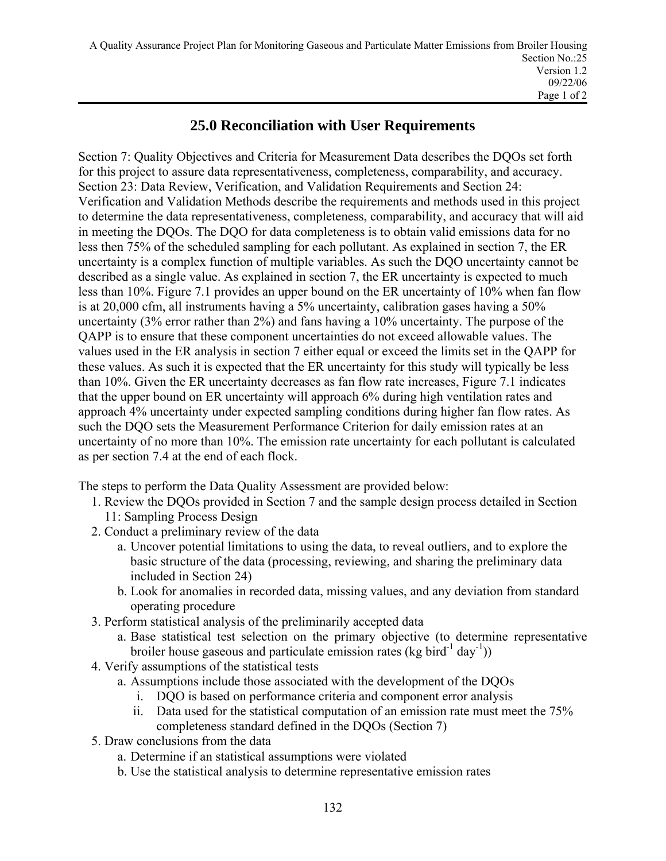## **25.0 Reconciliation with User Requirements**

Section 7: Quality Objectives and Criteria for Measurement Data describes the DQOs set forth for this project to assure data representativeness, completeness, comparability, and accuracy. Section 23: Data Review, Verification, and Validation Requirements and Section 24: Verification and Validation Methods describe the requirements and methods used in this project to determine the data representativeness, completeness, comparability, and accuracy that will aid in meeting the DQOs. The DQO for data completeness is to obtain valid emissions data for no less then 75% of the scheduled sampling for each pollutant. As explained in section 7, the ER uncertainty is a complex function of multiple variables. As such the DQO uncertainty cannot be described as a single value. As explained in section 7, the ER uncertainty is expected to much less than 10%. Figure 7.1 provides an upper bound on the ER uncertainty of 10% when fan flow is at 20,000 cfm, all instruments having a 5% uncertainty, calibration gases having a 50% uncertainty (3% error rather than 2%) and fans having a 10% uncertainty. The purpose of the QAPP is to ensure that these component uncertainties do not exceed allowable values. The values used in the ER analysis in section 7 either equal or exceed the limits set in the QAPP for these values. As such it is expected that the ER uncertainty for this study will typically be less than 10%. Given the ER uncertainty decreases as fan flow rate increases, Figure 7.1 indicates that the upper bound on ER uncertainty will approach 6% during high ventilation rates and approach 4% uncertainty under expected sampling conditions during higher fan flow rates. As such the DOO sets the Measurement Performance Criterion for daily emission rates at an uncertainty of no more than 10%. The emission rate uncertainty for each pollutant is calculated as per section 7.4 at the end of each flock.

The steps to perform the Data Quality Assessment are provided below:

- 1. Review the DQOs provided in Section 7 and the sample design process detailed in Section 11: Sampling Process Design
- 2. Conduct a preliminary review of the data
	- a. Uncover potential limitations to using the data, to reveal outliers, and to explore the basic structure of the data (processing, reviewing, and sharing the preliminary data included in Section 24)
	- b. Look for anomalies in recorded data, missing values, and any deviation from standard operating procedure
- 3. Perform statistical analysis of the preliminarily accepted data
	- a. Base statistical test selection on the primary objective (to determine representative broiler house gaseous and particulate emission rates (kg bird<sup>-1</sup> day<sup>-1</sup>))
- 4. Verify assumptions of the statistical tests
	- a. Assumptions include those associated with the development of the DQOs
		- i. DQO is based on performance criteria and component error analysis
		- ii. Data used for the statistical computation of an emission rate must meet the 75% completeness standard defined in the DQOs (Section 7)
- 5. Draw conclusions from the data
	- a. Determine if an statistical assumptions were violated
	- b. Use the statistical analysis to determine representative emission rates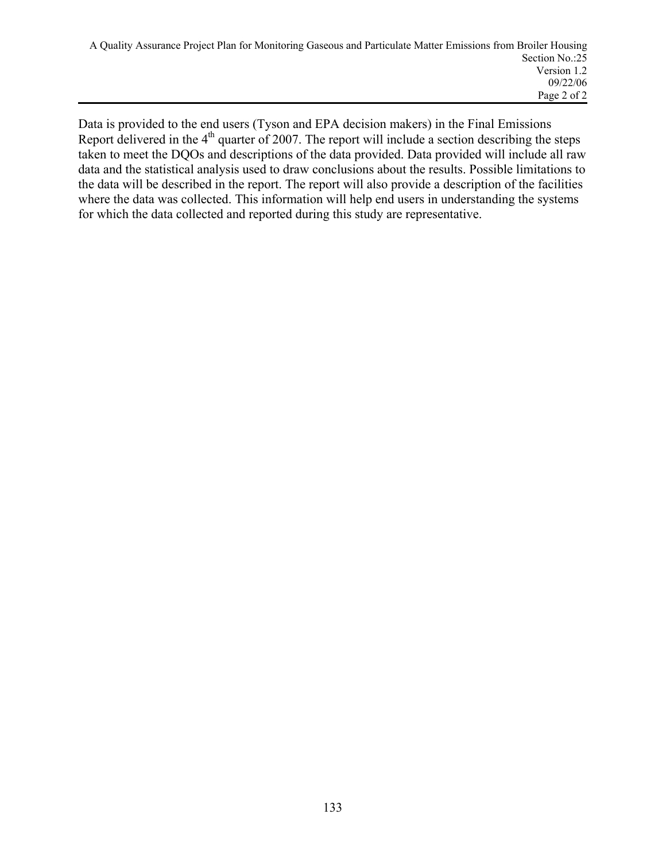Data is provided to the end users (Tyson and EPA decision makers) in the Final Emissions Report delivered in the  $4<sup>th</sup>$  quarter of 2007. The report will include a section describing the steps taken to meet the DQOs and descriptions of the data provided. Data provided will include all raw data and the statistical analysis used to draw conclusions about the results. Possible limitations to the data will be described in the report. The report will also provide a description of the facilities where the data was collected. This information will help end users in understanding the systems for which the data collected and reported during this study are representative.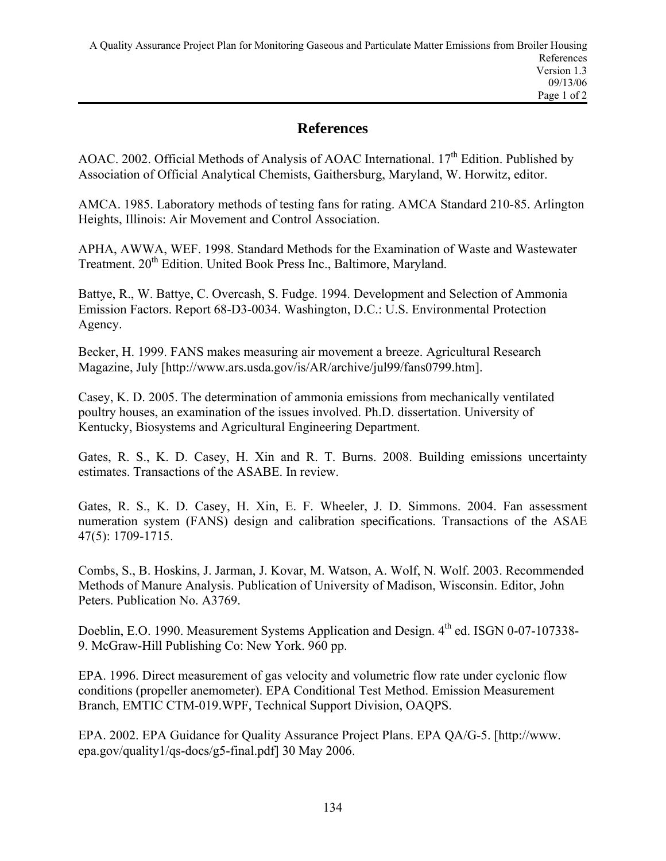## **References**

AOAC. 2002. Official Methods of Analysis of AOAC International. 17<sup>th</sup> Edition. Published by Association of Official Analytical Chemists, Gaithersburg, Maryland, W. Horwitz, editor.

AMCA. 1985. Laboratory methods of testing fans for rating. AMCA Standard 210-85. Arlington Heights, Illinois: Air Movement and Control Association.

APHA, AWWA, WEF. 1998. Standard Methods for the Examination of Waste and Wastewater Treatment. 20<sup>th</sup> Edition. United Book Press Inc., Baltimore, Maryland.

Battye, R., W. Battye, C. Overcash, S. Fudge. 1994. Development and Selection of Ammonia Emission Factors. Report 68-D3-0034. Washington, D.C.: U.S. Environmental Protection Agency.

Becker, H. 1999. FANS makes measuring air movement a breeze. Agricultural Research Magazine, July [http://www.ars.usda.gov/is/AR/archive/jul99/fans0799.htm].

Casey, K. D. 2005. The determination of ammonia emissions from mechanically ventilated poultry houses, an examination of the issues involved. Ph.D. dissertation. University of Kentucky, Biosystems and Agricultural Engineering Department.

Gates, R. S., K. D. Casey, H. Xin and R. T. Burns. 2008. Building emissions uncertainty estimates. Transactions of the ASABE. In review.

Gates, R. S., K. D. Casey, H. Xin, E. F. Wheeler, J. D. Simmons. 2004. Fan assessment numeration system (FANS) design and calibration specifications. Transactions of the ASAE 47(5): 1709-1715.

Combs, S., B. Hoskins, J. Jarman, J. Kovar, M. Watson, A. Wolf, N. Wolf. 2003. Recommended Methods of Manure Analysis. Publication of University of Madison, Wisconsin. Editor, John Peters. Publication No. A3769.

Doeblin, E.O. 1990. Measurement Systems Application and Design.  $4<sup>th</sup>$  ed. ISGN 0-07-107338-9. McGraw-Hill Publishing Co: New York. 960 pp.

EPA. 1996. Direct measurement of gas velocity and volumetric flow rate under cyclonic flow conditions (propeller anemometer). EPA Conditional Test Method. Emission Measurement Branch, EMTIC CTM-019.WPF, Technical Support Division, OAQPS.

EPA. 2002. EPA Guidance for Quality Assurance Project Plans. EPA QA/G-5. [http://www. epa.gov/quality1/qs-docs/g5-final.pdf] 30 May 2006.